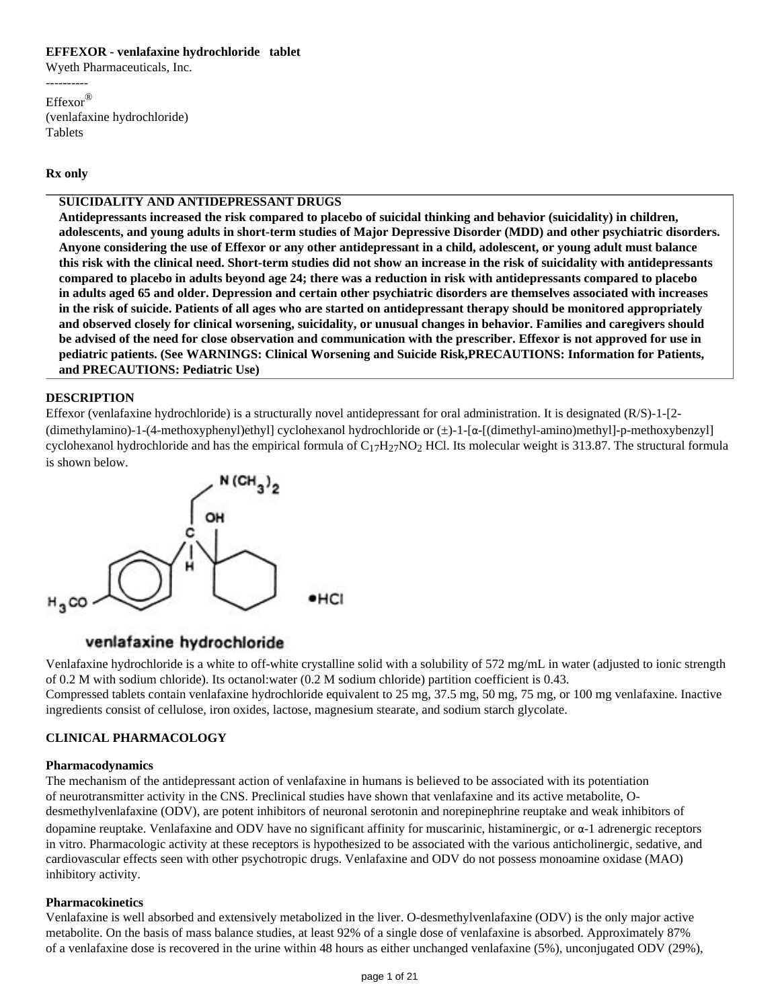## **EFFEXOR - venlafaxine hydrochloride tablet**

Wyeth Pharmaceuticals, Inc.

Effexor® (venlafaxine hydrochloride) Tablets

## **Rx only**

----------

## **SUICIDALITY AND ANTIDEPRESSANT DRUGS**

 **Antidepressants increased the risk compared to placebo of suicidal thinking and behavior (suicidality) in children, adolescents, and young adults in short-term studies of Major Depressive Disorder (MDD) and other psychiatric disorders. Anyone considering the use of Effexor or any other antidepressant in a child, adolescent, or young adult must balance this risk with the clinical need. Short-term studies did not show an increase in the risk of suicidality with antidepressants compared to placebo in adults beyond age 24; there was a reduction in risk with antidepressants compared to placebo in adults aged 65 and older. Depression and certain other psychiatric disorders are themselves associated with increases in the risk of suicide. Patients of all ages who are started on antidepressant therapy should be monitored appropriately and observed closely for clinical worsening, suicidality, or unusual changes in behavior. Families and caregivers should be advised of the need for close observation and communication with the prescriber. Effexor is not approved for use in pediatric patients. (See WARNINGS: Clinical Worsening and Suicide Risk,PRECAUTIONS: Information for Patients, and PRECAUTIONS: Pediatric Use)** 

## **DESCRIPTION**

 Effexor (venlafaxine hydrochloride) is a structurally novel antidepressant for oral administration. It is designated (R/S)-1-[2 (dimethylamino)-1-(4-methoxyphenyl)ethyl] cyclohexanol hydrochloride or (±)-1-[α-[(dimethyl-amino)methyl]-p-methoxybenzyl] cyclohexanol hydrochloride and has the empirical formula of  $C_{17}H_{27}NO_2$  HCl. Its molecular weight is 313.87. The structural formula is shown below.



# venlafaxine hydrochloride

 Venlafaxine hydrochloride is a white to off-white crystalline solid with a solubility of 572 mg/mL in water (adjusted to ionic strength of 0.2 M with sodium chloride). Its octanol:water (0.2 M sodium chloride) partition coefficient is 0.43. Compressed tablets contain venlafaxine hydrochloride equivalent to 25 mg, 37.5 mg, 50 mg, 75 mg, or 100 mg venlafaxine. Inactive ingredients consist of cellulose, iron oxides, lactose, magnesium stearate, and sodium starch glycolate.

## **CLINICAL PHARMACOLOGY**

## **Pharmacodynamics**

 The mechanism of the antidepressant action of venlafaxine in humans is believed to be associated with its potentiation of neurotransmitter activity in the CNS. Preclinical studies have shown that venlafaxine and its active metabolite, O- desmethylvenlafaxine (ODV), are potent inhibitors of neuronal serotonin and norepinephrine reuptake and weak inhibitors of dopamine reuptake. Venlafaxine and ODV have no significant affinity for muscarinic, histaminergic, or  $\alpha$ -1 adrenergic receptors in vitro. Pharmacologic activity at these receptors is hypothesized to be associated with the various anticholinergic, sedative, and cardiovascular effects seen with other psychotropic drugs. Venlafaxine and ODV do not possess monoamine oxidase (MAO) inhibitory activity.

## **Pharmacokinetics**

 Venlafaxine is well absorbed and extensively metabolized in the liver. O-desmethylvenlafaxine (ODV) is the only major active metabolite. On the basis of mass balance studies, at least 92% of a single dose of venlafaxine is absorbed. Approximately 87% of a venlafaxine dose is recovered in the urine within 48 hours as either unchanged venlafaxine (5%), unconjugated ODV (29%),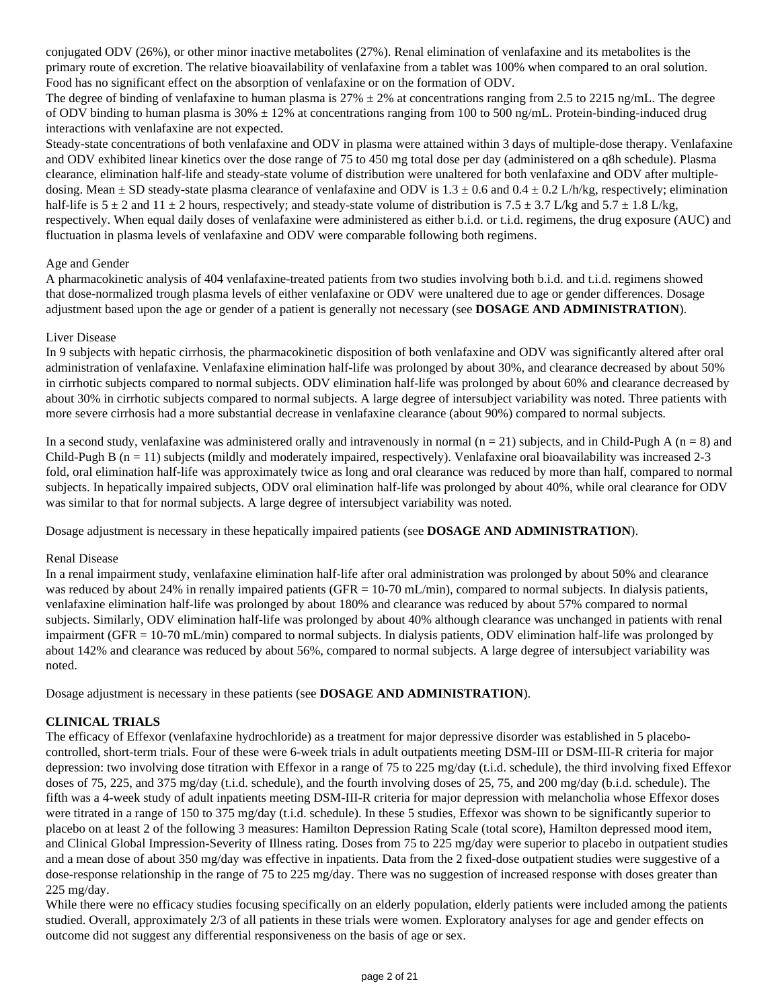conjugated ODV (26%), or other minor inactive metabolites (27%). Renal elimination of venlafaxine and its metabolites is the primary route of excretion. The relative bioavailability of venlafaxine from a tablet was 100% when compared to an oral solution. Food has no significant effect on the absorption of venlafaxine or on the formation of ODV.

The degree of binding of venlafaxine to human plasma is  $27\% \pm 2\%$  at concentrations ranging from 2.5 to 2215 ng/mL. The degree of ODV binding to human plasma is  $30\% \pm 12\%$  at concentrations ranging from 100 to 500 ng/mL. Protein-binding-induced drug interactions with venlafaxine are not expected.

 Steady-state concentrations of both venlafaxine and ODV in plasma were attained within 3 days of multiple-dose therapy. Venlafaxine and ODV exhibited linear kinetics over the dose range of 75 to 450 mg total dose per day (administered on a q8h schedule). Plasma clearance, elimination half-life and steady-state volume of distribution were unaltered for both venlafaxine and ODV after multipledosing. Mean  $\pm$  SD steady-state plasma clearance of venlafaxine and ODV is  $1.3 \pm 0.6$  and  $0.4 \pm 0.2$  L/h/kg, respectively; elimination half-life is  $5 \pm 2$  and  $11 \pm 2$  hours, respectively; and steady-state volume of distribution is  $7.5 \pm 3.7$  L/kg and  $5.7 \pm 1.8$  L/kg, respectively. When equal daily doses of venlafaxine were administered as either b.i.d. or t.i.d. regimens, the drug exposure (AUC) and fluctuation in plasma levels of venlafaxine and ODV were comparable following both regimens.

## Age and Gender

 A pharmacokinetic analysis of 404 venlafaxine-treated patients from two studies involving both b.i.d. and t.i.d. regimens showed that dose-normalized trough plasma levels of either venlafaxine or ODV were unaltered due to age or gender differences. Dosage adjustment based upon the age or gender of a patient is generally not necessary (see **DOSAGE AND ADMINISTRATION**).

## Liver Disease

 In 9 subjects with hepatic cirrhosis, the pharmacokinetic disposition of both venlafaxine and ODV was significantly altered after oral administration of venlafaxine. Venlafaxine elimination half-life was prolonged by about 30%, and clearance decreased by about 50% in cirrhotic subjects compared to normal subjects. ODV elimination half-life was prolonged by about 60% and clearance decreased by about 30% in cirrhotic subjects compared to normal subjects. A large degree of intersubject variability was noted. Three patients with more severe cirrhosis had a more substantial decrease in venlafaxine clearance (about 90%) compared to normal subjects.

In a second study, venlafaxine was administered orally and intravenously in normal  $(n = 21)$  subjects, and in Child-Pugh A  $(n = 8)$  and Child-Pugh B (n = 11) subjects (mildly and moderately impaired, respectively). Venlafaxine oral bioavailability was increased 2-3 fold, oral elimination half-life was approximately twice as long and oral clearance was reduced by more than half, compared to normal subjects. In hepatically impaired subjects, ODV oral elimination half-life was prolonged by about 40%, while oral clearance for ODV was similar to that for normal subjects. A large degree of intersubject variability was noted.

Dosage adjustment is necessary in these hepatically impaired patients (see **DOSAGE AND ADMINISTRATION**).

## Renal Disease

 In a renal impairment study, venlafaxine elimination half-life after oral administration was prolonged by about 50% and clearance was reduced by about 24% in renally impaired patients (GFR = 10-70 mL/min), compared to normal subjects. In dialysis patients, venlafaxine elimination half-life was prolonged by about 180% and clearance was reduced by about 57% compared to normal subjects. Similarly, ODV elimination half-life was prolonged by about 40% although clearance was unchanged in patients with renal impairment (GFR = 10-70 mL/min) compared to normal subjects. In dialysis patients, ODV elimination half-life was prolonged by about 142% and clearance was reduced by about 56%, compared to normal subjects. A large degree of intersubject variability was noted.

Dosage adjustment is necessary in these patients (see **DOSAGE AND ADMINISTRATION**).

## **CLINICAL TRIALS**

 The efficacy of Effexor (venlafaxine hydrochloride) as a treatment for major depressive disorder was established in 5 placebo- controlled, short-term trials. Four of these were 6-week trials in adult outpatients meeting DSM-III or DSM-III-R criteria for major depression: two involving dose titration with Effexor in a range of 75 to 225 mg/day (t.i.d. schedule), the third involving fixed Effexor doses of 75, 225, and 375 mg/day (t.i.d. schedule), and the fourth involving doses of 25, 75, and 200 mg/day (b.i.d. schedule). The fifth was a 4-week study of adult inpatients meeting DSM-III-R criteria for major depression with melancholia whose Effexor doses were titrated in a range of 150 to 375 mg/day (t.i.d. schedule). In these 5 studies, Effexor was shown to be significantly superior to placebo on at least 2 of the following 3 measures: Hamilton Depression Rating Scale (total score), Hamilton depressed mood item, and Clinical Global Impression-Severity of Illness rating. Doses from 75 to 225 mg/day were superior to placebo in outpatient studies and a mean dose of about 350 mg/day was effective in inpatients. Data from the 2 fixed-dose outpatient studies were suggestive of a dose-response relationship in the range of 75 to 225 mg/day. There was no suggestion of increased response with doses greater than 225 mg/day.

 While there were no efficacy studies focusing specifically on an elderly population, elderly patients were included among the patients studied. Overall, approximately 2/3 of all patients in these trials were women. Exploratory analyses for age and gender effects on outcome did not suggest any differential responsiveness on the basis of age or sex.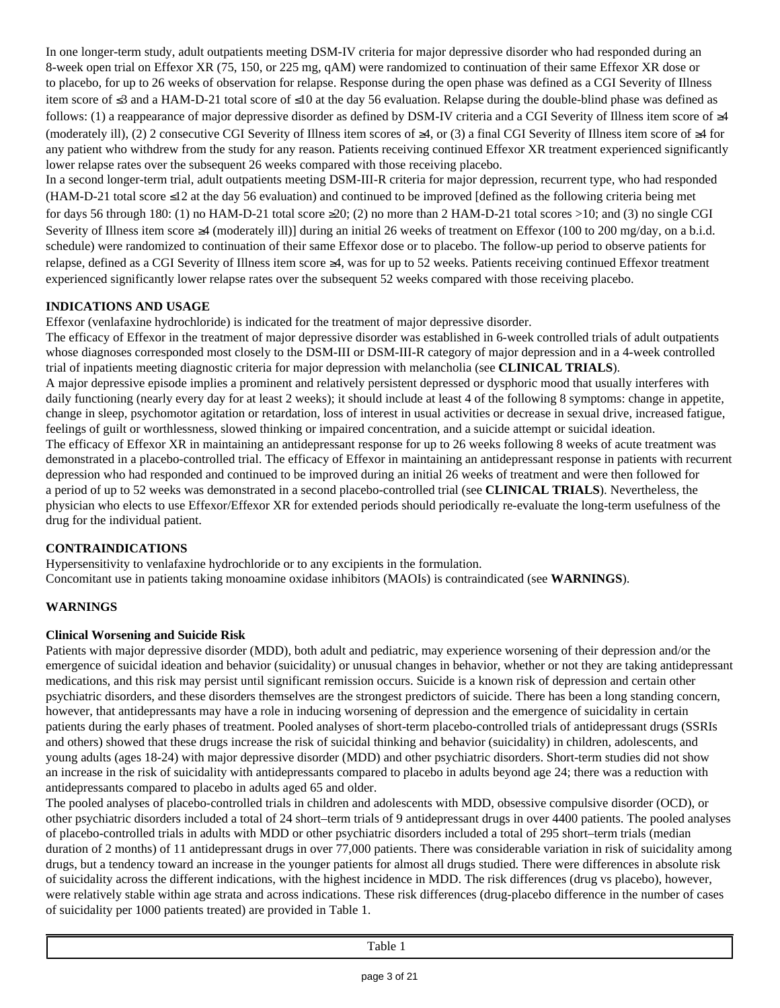In one longer-term study, adult outpatients meeting DSM-IV criteria for major depressive disorder who had responded during an 8-week open trial on Effexor XR (75, 150, or 225 mg, qAM) were randomized to continuation of their same Effexor XR dose or to placebo, for up to 26 weeks of observation for relapse. Response during the open phase was defined as a CGI Severity of Illness item score of ≤3 and a HAM-D-21 total score of ≤10 at the day 56 evaluation. Relapse during the double-blind phase was defined as follows: (1) a reappearance of major depressive disorder as defined by DSM-IV criteria and a CGI Severity of Illness item score of ≥4 (moderately ill), (2) 2 consecutive CGI Severity of Illness item scores of ≥4, or (3) a final CGI Severity of Illness item score of ≥4 for any patient who withdrew from the study for any reason. Patients receiving continued Effexor XR treatment experienced significantly lower relapse rates over the subsequent 26 weeks compared with those receiving placebo.

 In a second longer-term trial, adult outpatients meeting DSM-III-R criteria for major depression, recurrent type, who had responded (HAM-D-21 total score ≤12 at the day 56 evaluation) and continued to be improved [defined as the following criteria being met for days 56 through 180: (1) no HAM-D-21 total score ≥20; (2) no more than 2 HAM-D-21 total scores >10; and (3) no single CGI Severity of Illness item score ≥4 (moderately ill)] during an initial 26 weeks of treatment on Effexor (100 to 200 mg/day, on a b.i.d. schedule) were randomized to continuation of their same Effexor dose or to placebo. The follow-up period to observe patients for relapse, defined as a CGI Severity of Illness item score ≥4, was for up to 52 weeks. Patients receiving continued Effexor treatment experienced significantly lower relapse rates over the subsequent 52 weeks compared with those receiving placebo.

## **INDICATIONS AND USAGE**

Effexor (venlafaxine hydrochloride) is indicated for the treatment of major depressive disorder.

 The efficacy of Effexor in the treatment of major depressive disorder was established in 6-week controlled trials of adult outpatients whose diagnoses corresponded most closely to the DSM-III or DSM-III-R category of major depression and in a 4-week controlled trial of inpatients meeting diagnostic criteria for major depression with melancholia (see **CLINICAL TRIALS**). A major depressive episode implies a prominent and relatively persistent depressed or dysphoric mood that usually interferes with daily functioning (nearly every day for at least 2 weeks); it should include at least 4 of the following 8 symptoms: change in appetite, change in sleep, psychomotor agitation or retardation, loss of interest in usual activities or decrease in sexual drive, increased fatigue, feelings of guilt or worthlessness, slowed thinking or impaired concentration, and a suicide attempt or suicidal ideation. The efficacy of Effexor XR in maintaining an antidepressant response for up to 26 weeks following 8 weeks of acute treatment was demonstrated in a placebo-controlled trial. The efficacy of Effexor in maintaining an antidepressant response in patients with recurrent depression who had responded and continued to be improved during an initial 26 weeks of treatment and were then followed for a period of up to 52 weeks was demonstrated in a second placebo-controlled trial (see **CLINICAL TRIALS**). Nevertheless, the physician who elects to use Effexor/Effexor XR for extended periods should periodically re-evaluate the long-term usefulness of the drug for the individual patient.

## **CONTRAINDICATIONS**

 Hypersensitivity to venlafaxine hydrochloride or to any excipients in the formulation. Concomitant use in patients taking monoamine oxidase inhibitors (MAOIs) is contraindicated (see **WARNINGS**).

## **WARNINGS**

## **Clinical Worsening and Suicide Risk**

 Patients with major depressive disorder (MDD), both adult and pediatric, may experience worsening of their depression and/or the emergence of suicidal ideation and behavior (suicidality) or unusual changes in behavior, whether or not they are taking antidepressant medications, and this risk may persist until significant remission occurs. Suicide is a known risk of depression and certain other psychiatric disorders, and these disorders themselves are the strongest predictors of suicide. There has been a long standing concern, however, that antidepressants may have a role in inducing worsening of depression and the emergence of suicidality in certain patients during the early phases of treatment. Pooled analyses of short-term placebo-controlled trials of antidepressant drugs (SSRIs and others) showed that these drugs increase the risk of suicidal thinking and behavior (suicidality) in children, adolescents, and young adults (ages 18-24) with major depressive disorder (MDD) and other psychiatric disorders. Short-term studies did not show an increase in the risk of suicidality with antidepressants compared to placebo in adults beyond age 24; there was a reduction with antidepressants compared to placebo in adults aged 65 and older.

 The pooled analyses of placebo-controlled trials in children and adolescents with MDD, obsessive compulsive disorder (OCD), or other psychiatric disorders included a total of 24 short–term trials of 9 antidepressant drugs in over 4400 patients. The pooled analyses of placebo-controlled trials in adults with MDD or other psychiatric disorders included a total of 295 short–term trials (median duration of 2 months) of 11 antidepressant drugs in over 77,000 patients. There was considerable variation in risk of suicidality among drugs, but a tendency toward an increase in the younger patients for almost all drugs studied. There were differences in absolute risk of suicidality across the different indications, with the highest incidence in MDD. The risk differences (drug vs placebo), however, were relatively stable within age strata and across indications. These risk differences (drug-placebo difference in the number of cases of suicidality per 1000 patients treated) are provided in Table 1.

Table 1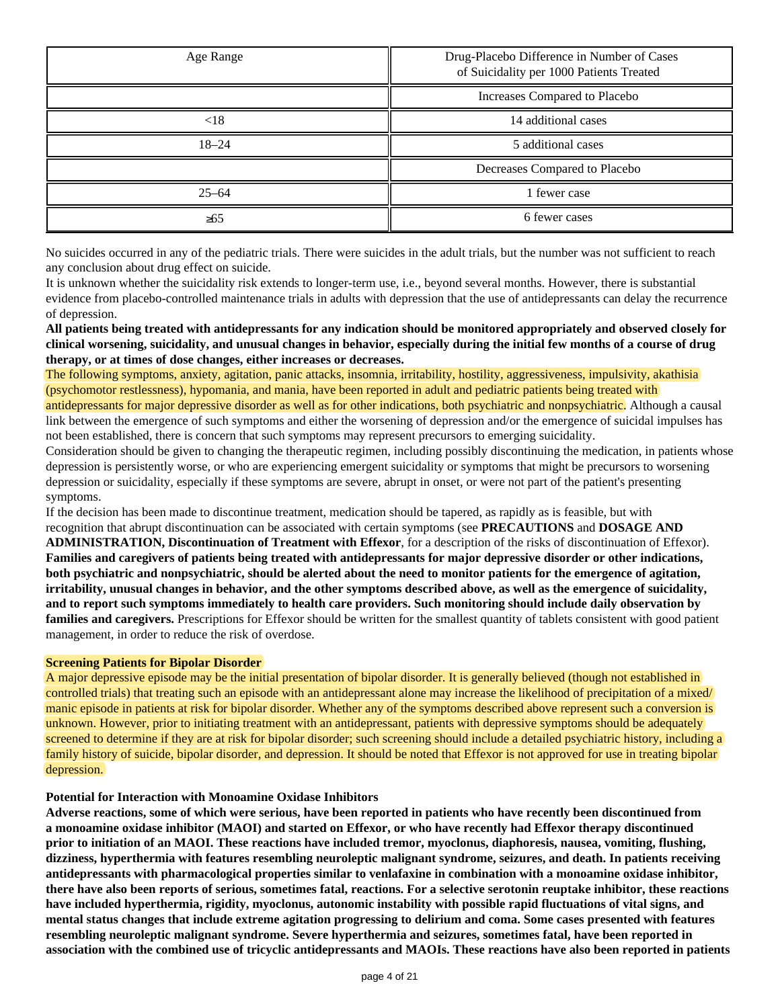| Age Range | Drug-Placebo Difference in Number of Cases<br>of Suicidality per 1000 Patients Treated |
|-----------|----------------------------------------------------------------------------------------|
|           | Increases Compared to Placebo                                                          |
| < 18      | 14 additional cases                                                                    |
| $18 - 24$ | 5 additional cases                                                                     |
|           | Decreases Compared to Placebo                                                          |
| $25 - 64$ | 1 fewer case                                                                           |
| $\geq 65$ | 6 fewer cases                                                                          |

 No suicides occurred in any of the pediatric trials. There were suicides in the adult trials, but the number was not sufficient to reach any conclusion about drug effect on suicide.

 It is unknown whether the suicidality risk extends to longer-term use, i.e., beyond several months. However, there is substantial evidence from placebo-controlled maintenance trials in adults with depression that the use of antidepressants can delay the recurrence of depression.

 **All patients being treated with antidepressants for any indication should be monitored appropriately and observed closely for clinical worsening, suicidality, and unusual changes in behavior, especially during the initial few months of a course of drug therapy, or at times of dose changes, either increases or decreases.** 

 The following symptoms, anxiety, agitation, panic attacks, insomnia, irritability, hostility, aggressiveness, impulsivity, akathisia (psychomotor restlessness), hypomania, and mania, have been reported in adult and pediatric patients being treated with antidepressants for major depressive disorder as well as for other indications, both psychiatric and nonpsychiatric. Although a causal link between the emergence of such symptoms and either the worsening of depression and/or the emergence of suicidal impulses has not been established, there is concern that such symptoms may represent precursors to emerging suicidality.

 Consideration should be given to changing the therapeutic regimen, including possibly discontinuing the medication, in patients whose depression is persistently worse, or who are experiencing emergent suicidality or symptoms that might be precursors to worsening depression or suicidality, especially if these symptoms are severe, abrupt in onset, or were not part of the patient's presenting symptoms.

If the decision has been made to discontinue treatment, medication should be tapered, as rapidly as is feasible, but with

 recognition that abrupt discontinuation can be associated with certain symptoms (see **PRECAUTIONS** and **DOSAGE AND ADMINISTRATION, Discontinuation of Treatment with Effexor**, for a description of the risks of discontinuation of Effexor).  **Families and caregivers of patients being treated with antidepressants for major depressive disorder or other indications, both psychiatric and nonpsychiatric, should be alerted about the need to monitor patients for the emergence of agitation, irritability, unusual changes in behavior, and the other symptoms described above, as well as the emergence of suicidality, and to report such symptoms immediately to health care providers. Such monitoring should include daily observation by**  families and caregivers. Prescriptions for Effexor should be written for the smallest quantity of tablets consistent with good patient management, in order to reduce the risk of overdose.

## **Screening Patients for Bipolar Disorder**

 A major depressive episode may be the initial presentation of bipolar disorder. It is generally believed (though not established in controlled trials) that treating such an episode with an antidepressant alone may increase the likelihood of precipitation of a mixed/ manic episode in patients at risk for bipolar disorder. Whether any of the symptoms described above represent such a conversion is unknown. However, prior to initiating treatment with an antidepressant, patients with depressive symptoms should be adequately screened to determine if they are at risk for bipolar disorder; such screening should include a detailed psychiatric history, including a family history of suicide, bipolar disorder, and depression. It should be noted that Effexor is not approved for use in treating bipolar depression.

#### **Potential for Interaction with Monoamine Oxidase Inhibitors**

 **Adverse reactions, some of which were serious, have been reported in patients who have recently been discontinued from a monoamine oxidase inhibitor (MAOI) and started on Effexor, or who have recently had Effexor therapy discontinued prior to initiation of an MAOI. These reactions have included tremor, myoclonus, diaphoresis, nausea, vomiting, flushing, dizziness, hyperthermia with features resembling neuroleptic malignant syndrome, seizures, and death. In patients receiving antidepressants with pharmacological properties similar to venlafaxine in combination with a monoamine oxidase inhibitor, there have also been reports of serious, sometimes fatal, reactions. For a selective serotonin reuptake inhibitor, these reactions have included hyperthermia, rigidity, myoclonus, autonomic instability with possible rapid fluctuations of vital signs, and mental status changes that include extreme agitation progressing to delirium and coma. Some cases presented with features resembling neuroleptic malignant syndrome. Severe hyperthermia and seizures, sometimes fatal, have been reported in association with the combined use of tricyclic antidepressants and MAOIs. These reactions have also been reported in patients**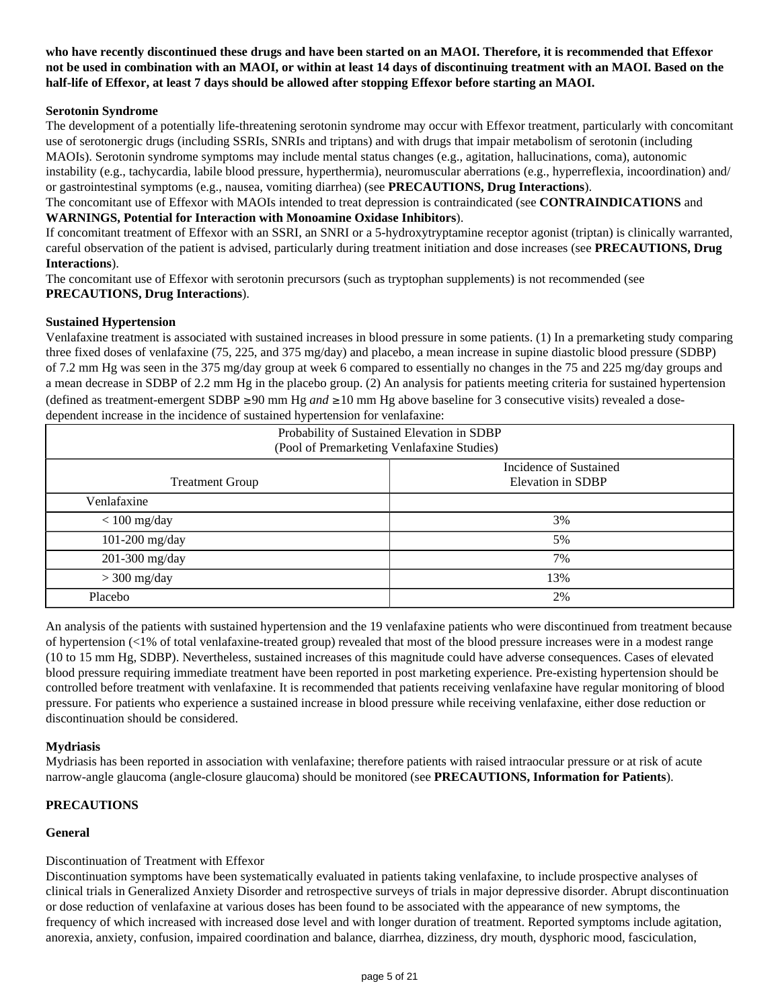**who have recently discontinued these drugs and have been started on an MAOI. Therefore, it is recommended that Effexor not be used in combination with an MAOI, or within at least 14 days of discontinuing treatment with an MAOI. Based on the half-life of Effexor, at least 7 days should be allowed after stopping Effexor before starting an MAOI.** 

## **Serotonin Syndrome**

 The development of a potentially life-threatening serotonin syndrome may occur with Effexor treatment, particularly with concomitant use of serotonergic drugs (including SSRIs, SNRIs and triptans) and with drugs that impair metabolism of serotonin (including MAOIs). Serotonin syndrome symptoms may include mental status changes (e.g., agitation, hallucinations, coma), autonomic instability (e.g., tachycardia, labile blood pressure, hyperthermia), neuromuscular aberrations (e.g., hyperreflexia, incoordination) and/ or gastrointestinal symptoms (e.g., nausea, vomiting diarrhea) (see **PRECAUTIONS, Drug Interactions**).

#### The concomitant use of Effexor with MAOIs intended to treat depression is contraindicated (see **CONTRAINDICATIONS** and  **WARNINGS, Potential for Interaction with Monoamine Oxidase Inhibitors**).

 If concomitant treatment of Effexor with an SSRI, an SNRI or a 5-hydroxytryptamine receptor agonist (triptan) is clinically warranted, careful observation of the patient is advised, particularly during treatment initiation and dose increases (see **PRECAUTIONS, Drug Interactions**).

 The concomitant use of Effexor with serotonin precursors (such as tryptophan supplements) is not recommended (see  **PRECAUTIONS, Drug Interactions**).

#### **Sustained Hypertension**

 Venlafaxine treatment is associated with sustained increases in blood pressure in some patients. (1) In a premarketing study comparing three fixed doses of venlafaxine (75, 225, and 375 mg/day) and placebo, a mean increase in supine diastolic blood pressure (SDBP) of 7.2 mm Hg was seen in the 375 mg/day group at week 6 compared to essentially no changes in the 75 and 225 mg/day groups and a mean decrease in SDBP of 2.2 mm Hg in the placebo group. (2) An analysis for patients meeting criteria for sustained hypertension (defined as treatment-emergent SDBP ≥ 90 mm Hg *and* ≥ 10 mm Hg above baseline for 3 consecutive visits) revealed a dose-dependent increase in the incidence of sustained hypertension for venlafaxine:

| . .<br>Probability of Sustained Elevation in SDBP<br>(Pool of Premarketing Venlafaxine Studies) |     |  |
|-------------------------------------------------------------------------------------------------|-----|--|
| Incidence of Sustained<br>Elevation in SDBP<br><b>Treatment Group</b>                           |     |  |
| Venlafaxine                                                                                     |     |  |
| $< 100$ mg/day                                                                                  | 3%  |  |
| $101-200$ mg/day                                                                                | 5%  |  |
| 201-300 mg/day                                                                                  | 7%  |  |
| $>$ 300 mg/day                                                                                  | 13% |  |
| Placebo                                                                                         | 2%  |  |

 An analysis of the patients with sustained hypertension and the 19 venlafaxine patients who were discontinued from treatment because of hypertension (<1% of total venlafaxine-treated group) revealed that most of the blood pressure increases were in a modest range (10 to 15 mm Hg, SDBP). Nevertheless, sustained increases of this magnitude could have adverse consequences. Cases of elevated blood pressure requiring immediate treatment have been reported in post marketing experience. Pre-existing hypertension should be controlled before treatment with venlafaxine. It is recommended that patients receiving venlafaxine have regular monitoring of blood pressure. For patients who experience a sustained increase in blood pressure while receiving venlafaxine, either dose reduction or discontinuation should be considered.

#### **Mydriasis**

 Mydriasis has been reported in association with venlafaxine; therefore patients with raised intraocular pressure or at risk of acute narrow-angle glaucoma (angle-closure glaucoma) should be monitored (see **PRECAUTIONS, Information for Patients**).

#### **PRECAUTIONS**

#### **General**

## Discontinuation of Treatment with Effexor

 Discontinuation symptoms have been systematically evaluated in patients taking venlafaxine, to include prospective analyses of clinical trials in Generalized Anxiety Disorder and retrospective surveys of trials in major depressive disorder. Abrupt discontinuation or dose reduction of venlafaxine at various doses has been found to be associated with the appearance of new symptoms, the frequency of which increased with increased dose level and with longer duration of treatment. Reported symptoms include agitation, anorexia, anxiety, confusion, impaired coordination and balance, diarrhea, dizziness, dry mouth, dysphoric mood, fasciculation,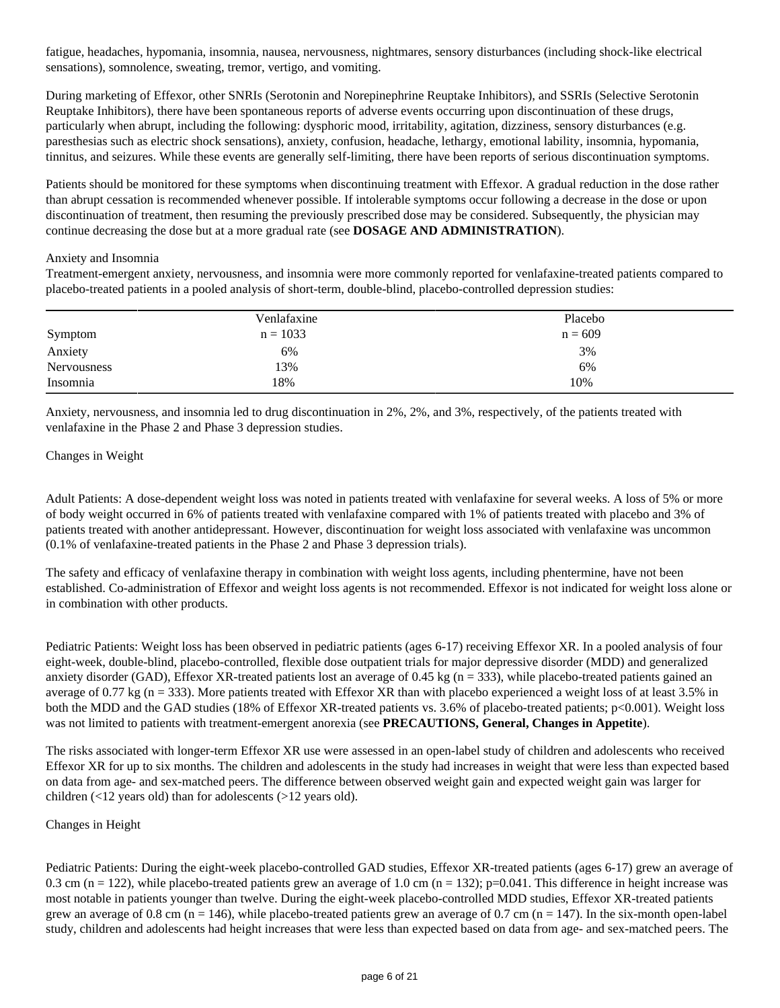fatigue, headaches, hypomania, insomnia, nausea, nervousness, nightmares, sensory disturbances (including shock-like electrical sensations), somnolence, sweating, tremor, vertigo, and vomiting.

 During marketing of Effexor, other SNRIs (Serotonin and Norepinephrine Reuptake Inhibitors), and SSRIs (Selective Serotonin Reuptake Inhibitors), there have been spontaneous reports of adverse events occurring upon discontinuation of these drugs, particularly when abrupt, including the following: dysphoric mood, irritability, agitation, dizziness, sensory disturbances (e.g. paresthesias such as electric shock sensations), anxiety, confusion, headache, lethargy, emotional lability, insomnia, hypomania, tinnitus, and seizures. While these events are generally self-limiting, there have been reports of serious discontinuation symptoms.

 Patients should be monitored for these symptoms when discontinuing treatment with Effexor. A gradual reduction in the dose rather than abrupt cessation is recommended whenever possible. If intolerable symptoms occur following a decrease in the dose or upon discontinuation of treatment, then resuming the previously prescribed dose may be considered. Subsequently, the physician may continue decreasing the dose but at a more gradual rate (see **DOSAGE AND ADMINISTRATION**).

#### Anxiety and Insomnia

 Treatment-emergent anxiety, nervousness, and insomnia were more commonly reported for venlafaxine-treated patients compared to placebo-treated patients in a pooled analysis of short-term, double-blind, placebo-controlled depression studies:

|                    | Venlafaxine | Placebo   |  |
|--------------------|-------------|-----------|--|
| Symptom            | $n = 1033$  | $n = 609$ |  |
| Anxiety            | 6%          | 3%        |  |
| <b>Nervousness</b> | 13%         | 6%        |  |
| Insomnia           | 18%         | 10%       |  |

venlafaxine in the Phase 2 and Phase 3 depression studies.

#### Changes in Weight

 Adult Patients: A dose-dependent weight loss was noted in patients treated with venlafaxine for several weeks. A loss of 5% or more of body weight occurred in 6% of patients treated with venlafaxine compared with 1% of patients treated with placebo and 3% of patients treated with another antidepressant. However, discontinuation for weight loss associated with venlafaxine was uncommon (0.1% of venlafaxine-treated patients in the Phase 2 and Phase 3 depression trials).

 The safety and efficacy of venlafaxine therapy in combination with weight loss agents, including phentermine, have not been established. Co-administration of Effexor and weight loss agents is not recommended. Effexor is not indicated for weight loss alone or in combination with other products.

 Pediatric Patients: Weight loss has been observed in pediatric patients (ages 6-17) receiving Effexor XR. In a pooled analysis of four eight-week, double-blind, placebo-controlled, flexible dose outpatient trials for major depressive disorder (MDD) and generalized anxiety disorder (GAD), Effexor XR-treated patients lost an average of 0.45 kg (n = 333), while placebo-treated patients gained an average of 0.77 kg (n = 333). More patients treated with Effexor XR than with placebo experienced a weight loss of at least 3.5% in both the MDD and the GAD studies (18% of Effexor XR-treated patients vs. 3.6% of placebo-treated patients; p<0.001). Weight loss was not limited to patients with treatment-emergent anorexia (see **PRECAUTIONS, General, Changes in Appetite**).

 The risks associated with longer-term Effexor XR use were assessed in an open-label study of children and adolescents who received Effexor XR for up to six months. The children and adolescents in the study had increases in weight that were less than expected based on data from age- and sex-matched peers. The difference between observed weight gain and expected weight gain was larger for children (<12 years old) than for adolescents (>12 years old).

#### Changes in Height

 Pediatric Patients: During the eight-week placebo-controlled GAD studies, Effexor XR-treated patients (ages 6-17) grew an average of 0.3 cm ( $n = 122$ ), while placebo-treated patients grew an average of 1.0 cm ( $n = 132$ ); p=0.041. This difference in height increase was most notable in patients younger than twelve. During the eight-week placebo-controlled MDD studies, Effexor XR-treated patients grew an average of  $0.8$  cm (n = 146), while placebo-treated patients grew an average of  $0.7$  cm (n = 147). In the six-month open-label study, children and adolescents had height increases that were less than expected based on data from age- and sex-matched peers. The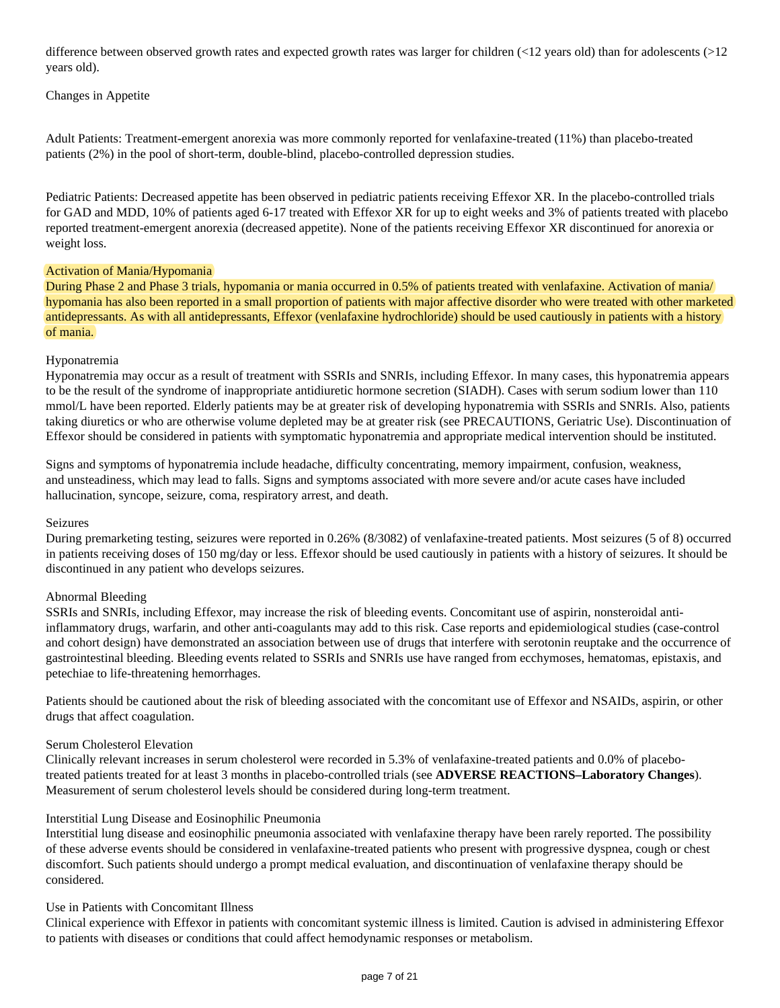difference between observed growth rates and expected growth rates was larger for children (<12 years old) than for adolescents (>12 years old).

Changes in Appetite

 Adult Patients: Treatment-emergent anorexia was more commonly reported for venlafaxine-treated (11%) than placebo-treated patients (2%) in the pool of short-term, double-blind, placebo-controlled depression studies.

 Pediatric Patients: Decreased appetite has been observed in pediatric patients receiving Effexor XR. In the placebo-controlled trials for GAD and MDD, 10% of patients aged 6-17 treated with Effexor XR for up to eight weeks and 3% of patients treated with placebo reported treatment-emergent anorexia (decreased appetite). None of the patients receiving Effexor XR discontinued for anorexia or weight loss.

## Activation of Mania/Hypomania

 During Phase 2 and Phase 3 trials, hypomania or mania occurred in 0.5% of patients treated with venlafaxine. Activation of mania/ hypomania has also been reported in a small proportion of patients with major affective disorder who were treated with other marketed antidepressants. As with all antidepressants, Effexor (venlafaxine hydrochloride) should be used cautiously in patients with a history of mania.

### Hyponatremia

 Hyponatremia may occur as a result of treatment with SSRIs and SNRIs, including Effexor. In many cases, this hyponatremia appears to be the result of the syndrome of inappropriate antidiuretic hormone secretion (SIADH). Cases with serum sodium lower than 110 mmol/L have been reported. Elderly patients may be at greater risk of developing hyponatremia with SSRIs and SNRIs. Also, patients taking diuretics or who are otherwise volume depleted may be at greater risk (see PRECAUTIONS, Geriatric Use). Discontinuation of Effexor should be considered in patients with symptomatic hyponatremia and appropriate medical intervention should be instituted.

 Signs and symptoms of hyponatremia include headache, difficulty concentrating, memory impairment, confusion, weakness, and unsteadiness, which may lead to falls. Signs and symptoms associated with more severe and/or acute cases have included hallucination, syncope, seizure, coma, respiratory arrest, and death.

## Seizures

 During premarketing testing, seizures were reported in 0.26% (8/3082) of venlafaxine-treated patients. Most seizures (5 of 8) occurred in patients receiving doses of 150 mg/day or less. Effexor should be used cautiously in patients with a history of seizures. It should be discontinued in any patient who develops seizures.

## Abnormal Bleeding

 SSRIs and SNRIs, including Effexor, may increase the risk of bleeding events. Concomitant use of aspirin, nonsteroidal anti- inflammatory drugs, warfarin, and other anti-coagulants may add to this risk. Case reports and epidemiological studies (case-control and cohort design) have demonstrated an association between use of drugs that interfere with serotonin reuptake and the occurrence of gastrointestinal bleeding. Bleeding events related to SSRIs and SNRIs use have ranged from ecchymoses, hematomas, epistaxis, and petechiae to life-threatening hemorrhages.

 Patients should be cautioned about the risk of bleeding associated with the concomitant use of Effexor and NSAIDs, aspirin, or other drugs that affect coagulation.

#### Serum Cholesterol Elevation

 Clinically relevant increases in serum cholesterol were recorded in 5.3% of venlafaxine-treated patients and 0.0% of placebo- treated patients treated for at least 3 months in placebo-controlled trials (see **ADVERSE REACTIONS–Laboratory Changes**). Measurement of serum cholesterol levels should be considered during long-term treatment.

## Interstitial Lung Disease and Eosinophilic Pneumonia

 Interstitial lung disease and eosinophilic pneumonia associated with venlafaxine therapy have been rarely reported. The possibility of these adverse events should be considered in venlafaxine-treated patients who present with progressive dyspnea, cough or chest discomfort. Such patients should undergo a prompt medical evaluation, and discontinuation of venlafaxine therapy should be considered.

#### Use in Patients with Concomitant Illness

 Clinical experience with Effexor in patients with concomitant systemic illness is limited. Caution is advised in administering Effexor to patients with diseases or conditions that could affect hemodynamic responses or metabolism.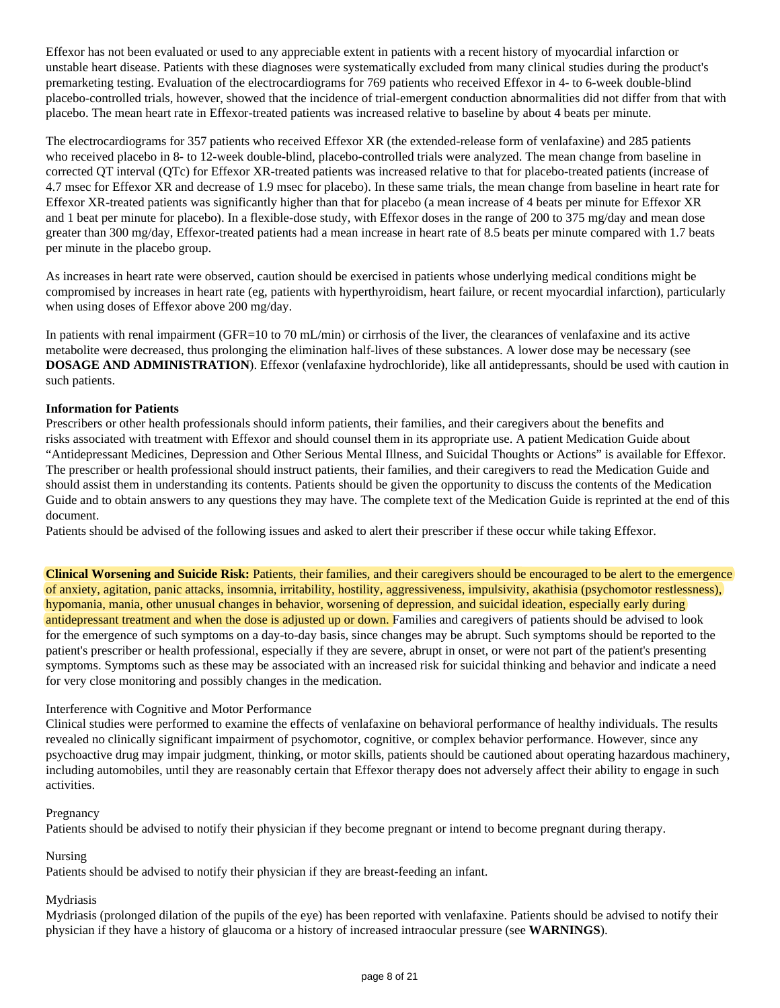Effexor has not been evaluated or used to any appreciable extent in patients with a recent history of myocardial infarction or unstable heart disease. Patients with these diagnoses were systematically excluded from many clinical studies during the product's premarketing testing. Evaluation of the electrocardiograms for 769 patients who received Effexor in 4- to 6-week double-blind placebo-controlled trials, however, showed that the incidence of trial-emergent conduction abnormalities did not differ from that with placebo. The mean heart rate in Effexor-treated patients was increased relative to baseline by about 4 beats per minute.

 The electrocardiograms for 357 patients who received Effexor XR (the extended-release form of venlafaxine) and 285 patients who received placebo in 8- to 12-week double-blind, placebo-controlled trials were analyzed. The mean change from baseline in corrected QT interval (QTc) for Effexor XR-treated patients was increased relative to that for placebo-treated patients (increase of 4.7 msec for Effexor XR and decrease of 1.9 msec for placebo). In these same trials, the mean change from baseline in heart rate for Effexor XR-treated patients was significantly higher than that for placebo (a mean increase of 4 beats per minute for Effexor XR and 1 beat per minute for placebo). In a flexible-dose study, with Effexor doses in the range of 200 to 375 mg/day and mean dose greater than 300 mg/day, Effexor-treated patients had a mean increase in heart rate of 8.5 beats per minute compared with 1.7 beats per minute in the placebo group.

 As increases in heart rate were observed, caution should be exercised in patients whose underlying medical conditions might be compromised by increases in heart rate (eg, patients with hyperthyroidism, heart failure, or recent myocardial infarction), particularly when using doses of Effexor above 200 mg/day.

 In patients with renal impairment (GFR=10 to 70 mL/min) or cirrhosis of the liver, the clearances of venlafaxine and its active metabolite were decreased, thus prolonging the elimination half-lives of these substances. A lower dose may be necessary (see  **DOSAGE AND ADMINISTRATION**). Effexor (venlafaxine hydrochloride), like all antidepressants, should be used with caution in such patients.

## **Information for Patients**

 Prescribers or other health professionals should inform patients, their families, and their caregivers about the benefits and risks associated with treatment with Effexor and should counsel them in its appropriate use. A patient Medication Guide about "Antidepressant Medicines, Depression and Other Serious Mental Illness, and Suicidal Thoughts or Actions" is available for Effexor. The prescriber or health professional should instruct patients, their families, and their caregivers to read the Medication Guide and should assist them in understanding its contents. Patients should be given the opportunity to discuss the contents of the Medication Guide and to obtain answers to any questions they may have. The complete text of the Medication Guide is reprinted at the end of this document.

Patients should be advised of the following issues and asked to alert their prescriber if these occur while taking Effexor.

**Clinical Worsening and Suicide Risk:** Patients, their families, and their caregivers should be encouraged to be alert to the emergence of anxiety, agitation, panic attacks, insomnia, irritability, hostility, aggressiveness, impulsivity, akathisia (psychomotor restlessness), hypomania, mania, other unusual changes in behavior, worsening of depression, and suicidal ideation, especially early during antidepressant treatment and when the dose is adjusted up or down. Families and caregivers of patients should be advised to look for the emergence of such symptoms on a day-to-day basis, since changes may be abrupt. Such symptoms should be reported to the patient's prescriber or health professional, especially if they are severe, abrupt in onset, or were not part of the patient's presenting symptoms. Symptoms such as these may be associated with an increased risk for suicidal thinking and behavior and indicate a need for very close monitoring and possibly changes in the medication.

#### Interference with Cognitive and Motor Performance

 Clinical studies were performed to examine the effects of venlafaxine on behavioral performance of healthy individuals. The results revealed no clinically significant impairment of psychomotor, cognitive, or complex behavior performance. However, since any psychoactive drug may impair judgment, thinking, or motor skills, patients should be cautioned about operating hazardous machinery, including automobiles, until they are reasonably certain that Effexor therapy does not adversely affect their ability to engage in such activities.

#### Pregnancy

Patients should be advised to notify their physician if they become pregnant or intend to become pregnant during therapy.

#### Nursing

Patients should be advised to notify their physician if they are breast-feeding an infant.

## Mydriasis

 Mydriasis (prolonged dilation of the pupils of the eye) has been reported with venlafaxine. Patients should be advised to notify their physician if they have a history of glaucoma or a history of increased intraocular pressure (see **WARNINGS**).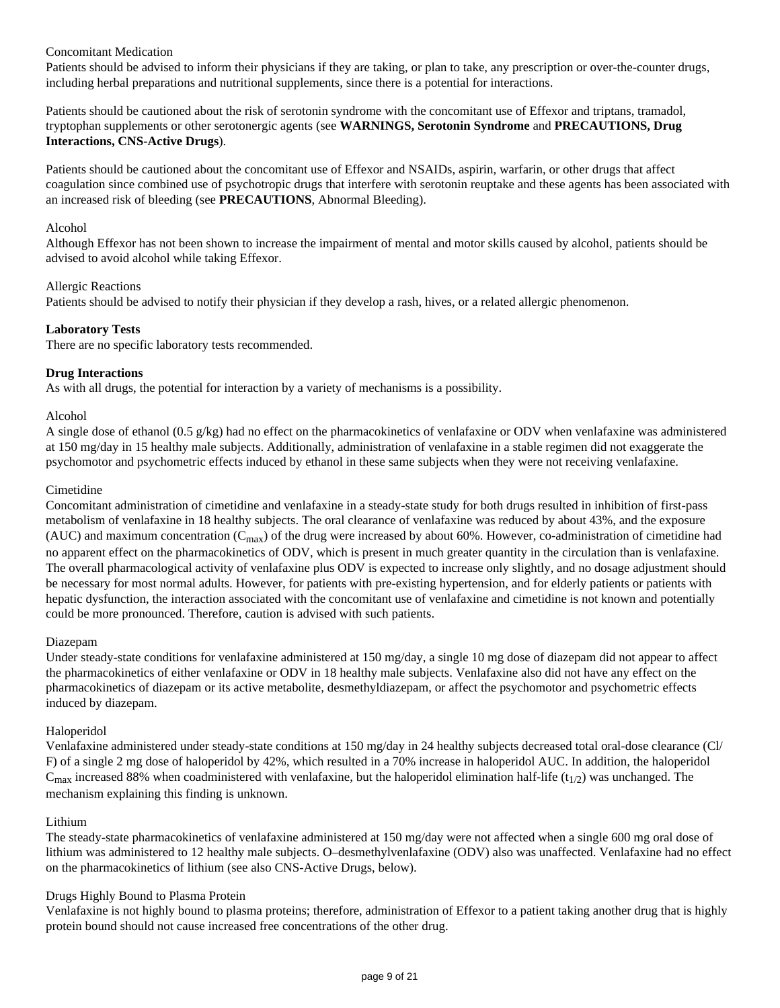## Concomitant Medication

 Patients should be advised to inform their physicians if they are taking, or plan to take, any prescription or over-the-counter drugs, including herbal preparations and nutritional supplements, since there is a potential for interactions.

 Patients should be cautioned about the risk of serotonin syndrome with the concomitant use of Effexor and triptans, tramadol, tryptophan supplements or other serotonergic agents (see **WARNINGS, Serotonin Syndrome** and **PRECAUTIONS, Drug Interactions, CNS-Active Drugs**).

 Patients should be cautioned about the concomitant use of Effexor and NSAIDs, aspirin, warfarin, or other drugs that affect coagulation since combined use of psychotropic drugs that interfere with serotonin reuptake and these agents has been associated with an increased risk of bleeding (see **PRECAUTIONS**, Abnormal Bleeding).

#### Alcohol

 Although Effexor has not been shown to increase the impairment of mental and motor skills caused by alcohol, patients should be advised to avoid alcohol while taking Effexor.

#### Allergic Reactions

Patients should be advised to notify their physician if they develop a rash, hives, or a related allergic phenomenon.

## **Laboratory Tests**

There are no specific laboratory tests recommended.

#### **Drug Interactions**

As with all drugs, the potential for interaction by a variety of mechanisms is a possibility.

#### Alcohol

Alcohol<br>A single dose of ethanol (0.5 g/kg) had no effect on the pharmacokinetics of venlafaxine or ODV when venlafaxine was administered at 150 mg/day in 15 healthy male subjects. Additionally, administration of venlafaxine in a stable regimen did not exaggerate the psychomotor and psychometric effects induced by ethanol in these same subjects when they were not receiving venlafaxine.

#### Cimetidine

Cimetidine<br>Concomitant administration of cimetidine and venlafaxine in a steady-state study for both drugs resulted in inhibition of first-pass metabolism of venlafaxine in 18 healthy subjects. The oral clearance of venlafaxine was reduced by about 43%, and the exposure (AUC) and maximum concentration ( $C_{max}$ ) of the drug were increased by about 60%. However, co-administration of cimetidine had no apparent effect on the pharmacokinetics of ODV, which is present in much greater quantity in the circulation than is venlafaxine. The overall pharmacological activity of venlafaxine plus ODV is expected to increase only slightly, and no dosage adjustment should be necessary for most normal adults. However, for patients with pre-existing hypertension, and for elderly patients or patients with hepatic dysfunction, the interaction associated with the concomitant use of venlafaxine and cimetidine is not known and potentially could be more pronounced. Therefore, caution is advised with such patients.

#### Diazepam

Diazepam<br>Under steady-state conditions for venlafaxine administered at 150 mg/day, a single 10 mg dose of diazepam did not appear to affect the pharmacokinetics of either venlafaxine or ODV in 18 healthy male subjects. Venlafaxine also did not have any effect on the pharmacokinetics of diazepam or its active metabolite, desmethyldiazepam, or affect the psychomotor and psychometric effects induced by diazepam.

Haloperidol<br>Venlafaxine administered under steady-state conditions at 150 mg/day in 24 healthy subjects decreased total oral-dose clearance (Cl/ F) of a single 2 mg dose of haloperidol by 42%, which resulted in a 70% increase in haloperidol AUC. In addition, the haloperidol  $C_{max}$  increased 88% when coadministered with venlafaxine, but the haloperidol elimination half-life (t<sub>1/2</sub>) was unchanged. The mechanism explaining this finding is unknown.

## Lithium

Lithium<br>The steady-state pharmacokinetics of venlafaxine administered at 150 mg/day were not affected when a single 600 mg oral dose of lithium was administered to 12 healthy male subjects. O–desmethylvenlafaxine (ODV) also was unaffected. Venlafaxine had no effect on the pharmacokinetics of lithium (see also CNS-Active Drugs, below).

## Drugs Highly Bound to Plasma Protein

 Venlafaxine is not highly bound to plasma proteins; therefore, administration of Effexor to a patient taking another drug that is highly protein bound should not cause increased free concentrations of the other drug.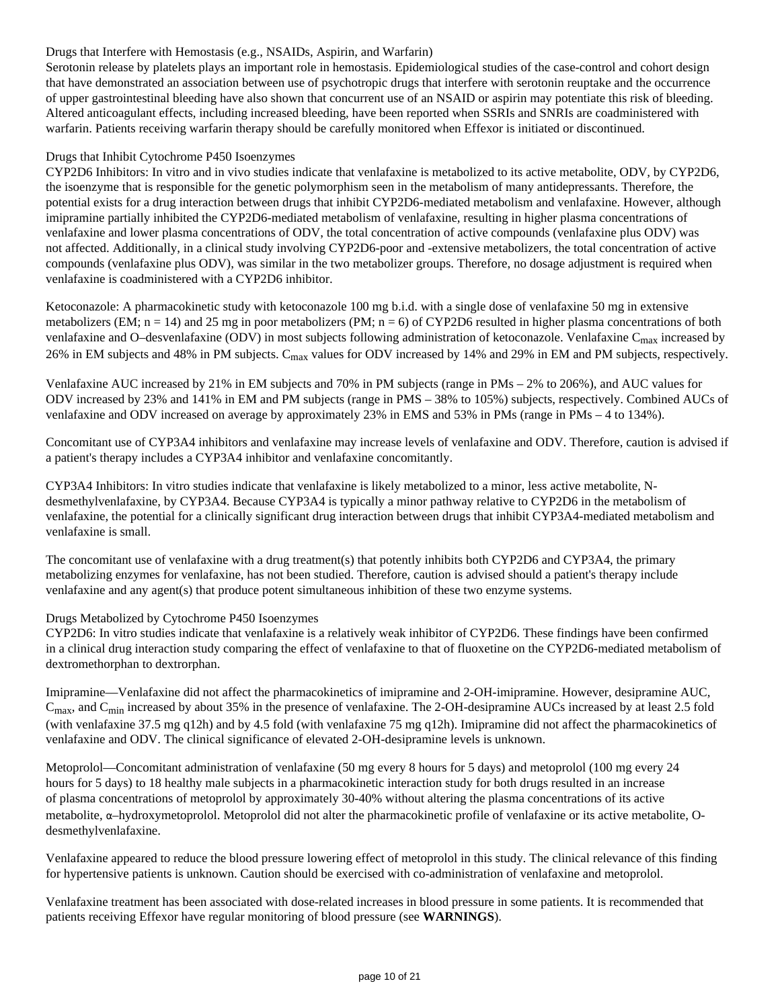## Drugs that Interfere with Hemostasis (e.g., NSAIDs, Aspirin, and Warfarin)

 Serotonin release by platelets plays an important role in hemostasis. Epidemiological studies of the case-control and cohort design that have demonstrated an association between use of psychotropic drugs that interfere with serotonin reuptake and the occurrence of upper gastrointestinal bleeding have also shown that concurrent use of an NSAID or aspirin may potentiate this risk of bleeding. Altered anticoagulant effects, including increased bleeding, have been reported when SSRIs and SNRIs are coadministered with warfarin. Patients receiving warfarin therapy should be carefully monitored when Effexor is initiated or discontinued.

## Drugs that Inhibit Cytochrome P450 Isoenzymes

 CYP2D6 Inhibitors: In vitro and in vivo studies indicate that venlafaxine is metabolized to its active metabolite, ODV, by CYP2D6, the isoenzyme that is responsible for the genetic polymorphism seen in the metabolism of many antidepressants. Therefore, the potential exists for a drug interaction between drugs that inhibit CYP2D6-mediated metabolism and venlafaxine. However, although imipramine partially inhibited the CYP2D6-mediated metabolism of venlafaxine, resulting in higher plasma concentrations of venlafaxine and lower plasma concentrations of ODV, the total concentration of active compounds (venlafaxine plus ODV) was not affected. Additionally, in a clinical study involving CYP2D6-poor and -extensive metabolizers, the total concentration of active compounds (venlafaxine plus ODV), was similar in the two metabolizer groups. Therefore, no dosage adjustment is required when venlafaxine is coadministered with a CYP2D6 inhibitor.

 Ketoconazole: A pharmacokinetic study with ketoconazole 100 mg b.i.d. with a single dose of venlafaxine 50 mg in extensive metabolizers (EM; n = 14) and 25 mg in poor metabolizers (PM; n = 6) of CYP2D6 resulted in higher plasma concentrations of both venlafaxine and O–desvenlafaxine (ODV) in most subjects following administration of ketoconazole. Venlafaxine  $C_{max}$  increased by 26% in EM subjects and 48% in PM subjects.  $C_{max}$  values for ODV increased by 14% and 29% in EM and PM subjects, respectively.

 Venlafaxine AUC increased by 21% in EM subjects and 70% in PM subjects (range in PMs – 2% to 206%), and AUC values for ODV increased by 23% and 141% in EM and PM subjects (range in PMS – 38% to 105%) subjects, respectively. Combined AUCs of venlafaxine and ODV increased on average by approximately 23% in EMS and 53% in PMs (range in PMs – 4 to 134%).

 Concomitant use of CYP3A4 inhibitors and venlafaxine may increase levels of venlafaxine and ODV. Therefore, caution is advised if a patient's therapy includes a CYP3A4 inhibitor and venlafaxine concomitantly.

 CYP3A4 Inhibitors: In vitro studies indicate that venlafaxine is likely metabolized to a minor, less active metabolite, N- desmethylvenlafaxine, by CYP3A4. Because CYP3A4 is typically a minor pathway relative to CYP2D6 in the metabolism of venlafaxine, the potential for a clinically significant drug interaction between drugs that inhibit CYP3A4-mediated metabolism and venlafaxine is small.

 The concomitant use of venlafaxine with a drug treatment(s) that potently inhibits both CYP2D6 and CYP3A4, the primary metabolizing enzymes for venlafaxine, has not been studied. Therefore, caution is advised should a patient's therapy include venlafaxine and any agent(s) that produce potent simultaneous inhibition of these two enzyme systems.

## Drugs Metabolized by Cytochrome P450 Isoenzymes

 CYP2D6: In vitro studies indicate that venlafaxine is a relatively weak inhibitor of CYP2D6. These findings have been confirmed in a clinical drug interaction study comparing the effect of venlafaxine to that of fluoxetine on the CYP2D6-mediated metabolism of dextromethorphan to dextrorphan.

 Imipramine—Venlafaxine did not affect the pharmacokinetics of imipramine and 2-OH-imipramine. However, desipramine AUC,  $C_{\text{max}}$ , and  $C_{\text{min}}$  increased by about 35% in the presence of venlafaxine. The 2-OH-desipramine AUCs increased by at least 2.5 fold (with venlafaxine 37.5 mg q12h) and by 4.5 fold (with venlafaxine 75 mg q12h). Imipramine did not affect the pharmacokinetics of venlafaxine and ODV. The clinical significance of elevated 2-OH-desipramine levels is unknown.

 Metoprolol—Concomitant administration of venlafaxine (50 mg every 8 hours for 5 days) and metoprolol (100 mg every 24 hours for 5 days) to 18 healthy male subjects in a pharmacokinetic interaction study for both drugs resulted in an increase of plasma concentrations of metoprolol by approximately 30-40% without altering the plasma concentrations of its active metabolite,  $\alpha$ –hydroxymetoprolol. Metoprolol did not alter the pharmacokinetic profile of venlafaxine or its active metabolite, O desmethylvenlafaxine.

 Venlafaxine appeared to reduce the blood pressure lowering effect of metoprolol in this study. The clinical relevance of this finding for hypertensive patients is unknown. Caution should be exercised with co-administration of venlafaxine and metoprolol.

 Venlafaxine treatment has been associated with dose-related increases in blood pressure in some patients. It is recommended that patients receiving Effexor have regular monitoring of blood pressure (see **WARNINGS**).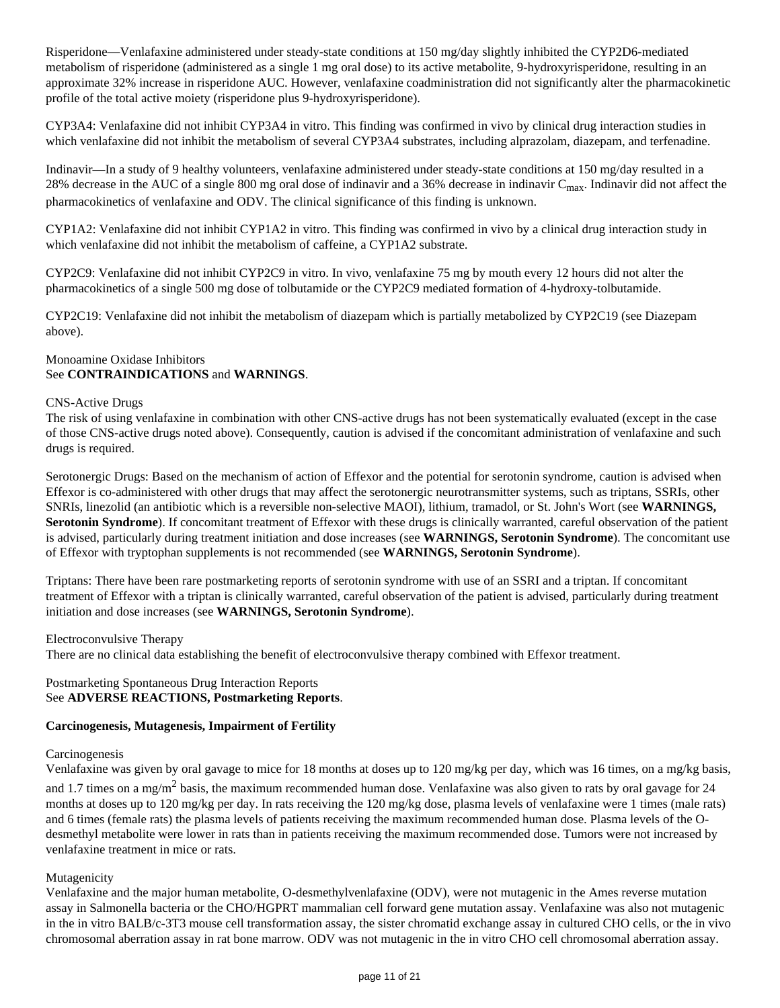Risperidone—Venlafaxine administered under steady-state conditions at 150 mg/day slightly inhibited the CYP2D6-mediated metabolism of risperidone (administered as a single 1 mg oral dose) to its active metabolite, 9-hydroxyrisperidone, resulting in an approximate 32% increase in risperidone AUC. However, venlafaxine coadministration did not significantly alter the pharmacokinetic profile of the total active moiety (risperidone plus 9-hydroxyrisperidone).

 CYP3A4: Venlafaxine did not inhibit CYP3A4 in vitro. This finding was confirmed in vivo by clinical drug interaction studies in which venlafaxine did not inhibit the metabolism of several CYP3A4 substrates, including alprazolam, diazepam, and terfenadine.

 Indinavir—In a study of 9 healthy volunteers, venlafaxine administered under steady-state conditions at 150 mg/day resulted in a 28% decrease in the AUC of a single 800 mg oral dose of indinavir and a 36% decrease in indinavir  $C_{\text{max}}$ . Indinavir did not affect the pharmacokinetics of venlafaxine and ODV. The clinical significance of this finding is unknown.

 CYP1A2: Venlafaxine did not inhibit CYP1A2 in vitro. This finding was confirmed in vivo by a clinical drug interaction study in which venlafaxine did not inhibit the metabolism of caffeine, a CYP1A2 substrate.

 CYP2C9: Venlafaxine did not inhibit CYP2C9 in vitro. In vivo, venlafaxine 75 mg by mouth every 12 hours did not alter the pharmacokinetics of a single 500 mg dose of tolbutamide or the CYP2C9 mediated formation of 4-hydroxy-tolbutamide.

 CYP2C19: Venlafaxine did not inhibit the metabolism of diazepam which is partially metabolized by CYP2C19 (see Diazepam above).

## Monoamine Oxidase Inhibitors See **CONTRAINDICATIONS** and **WARNINGS**.

#### CNS-Active Drugs

 The risk of using venlafaxine in combination with other CNS-active drugs has not been systematically evaluated (except in the case of those CNS-active drugs noted above). Consequently, caution is advised if the concomitant administration of venlafaxine and such drugs is required.

 Serotonergic Drugs: Based on the mechanism of action of Effexor and the potential for serotonin syndrome, caution is advised when Effexor is co-administered with other drugs that may affect the serotonergic neurotransmitter systems, such as triptans, SSRIs, other SNRIs, linezolid (an antibiotic which is a reversible non-selective MAOI), lithium, tramadol, or St. John's Wort (see **WARNINGS, Serotonin Syndrome**). If concomitant treatment of Effexor with these drugs is clinically warranted, careful observation of the patient is advised, particularly during treatment initiation and dose increases (see **WARNINGS, Serotonin Syndrome**). The concomitant use of Effexor with tryptophan supplements is not recommended (see **WARNINGS, Serotonin Syndrome**).

 Triptans: There have been rare postmarketing reports of serotonin syndrome with use of an SSRI and a triptan. If concomitant treatment of Effexor with a triptan is clinically warranted, careful observation of the patient is advised, particularly during treatment initiation and dose increases (see **WARNINGS, Serotonin Syndrome**).

#### Electroconvulsive Therapy

There are no clinical data establishing the benefit of electroconvulsive therapy combined with Effexor treatment.

## Postmarketing Spontaneous Drug Interaction Reports See **ADVERSE REACTIONS, Postmarketing Reports**.

## **Carcinogenesis, Mutagenesis, Impairment of Fertility**

#### Carcinogenesis

Carcinogenesis<br>Venlafaxine was given by oral gavage to mice for 18 months at doses up to 120 mg/kg per day, which was 16 times, on a mg/kg basis, and 1.7 times on a mg/m<sup>2</sup> basis, the maximum recommended human dose. Venlafaxine was also given to rats by oral gavage for 24 months at doses up to 120 mg/kg per day. In rats receiving the 120 mg/kg dose, plasma levels of venlafaxine were 1 times (male rats) and 6 times (female rats) the plasma levels of patients receiving the maximum recommended human dose. Plasma levels of the O- desmethyl metabolite were lower in rats than in patients receiving the maximum recommended dose. Tumors were not increased by venlafaxine treatment in mice or rats.

## Mutagenicity

Mutagenicity<br>Venlafaxine and the major human metabolite, O-desmethylvenlafaxine (ODV), were not mutagenic in the Ames reverse mutation assay in Salmonella bacteria or the CHO/HGPRT mammalian cell forward gene mutation assay. Venlafaxine was also not mutagenic in the in vitro BALB/c-3T3 mouse cell transformation assay, the sister chromatid exchange assay in cultured CHO cells, or the in vivo chromosomal aberration assay in rat bone marrow. ODV was not mutagenic in the in vitro CHO cell chromosomal aberration assay.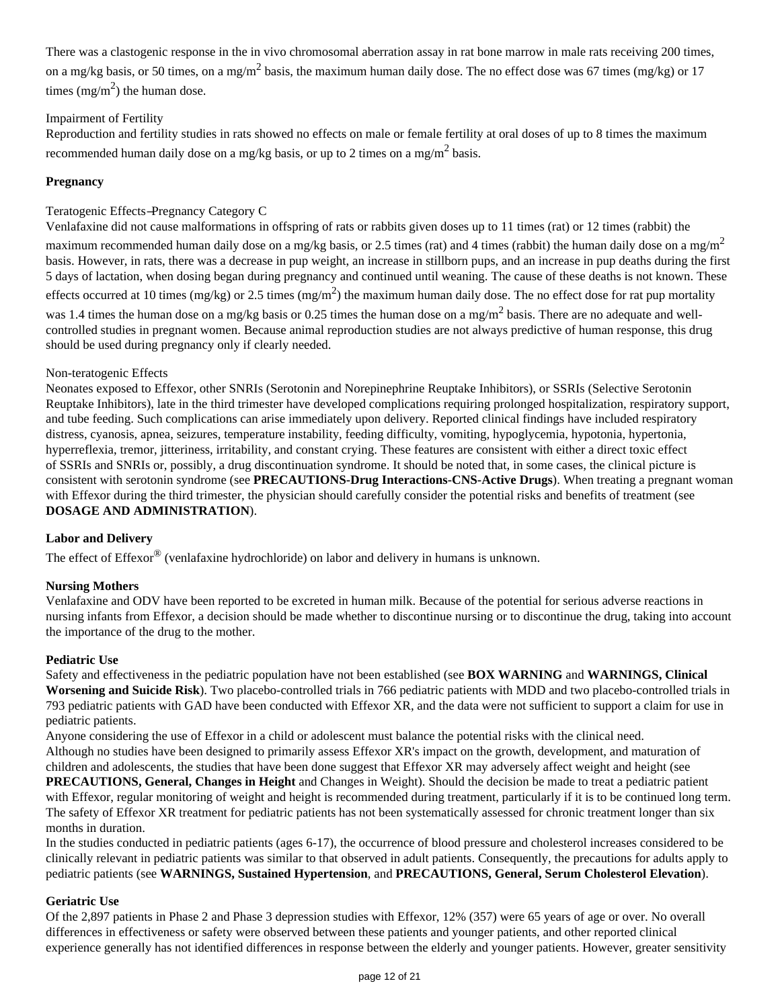There was a clastogenic response in the in vivo chromosomal aberration assay in rat bone marrow in male rats receiving 200 times, on a mg/kg basis, or 50 times, on a mg/m<sup>2</sup> basis, the maximum human daily dose. The no effect dose was 67 times (mg/kg) or 17 times  $(mg/m^2)$  the human dose.

## Impairment of Fertility

 Reproduction and fertility studies in rats showed no effects on male or female fertility at oral doses of up to 8 times the maximum recommended human daily dose on a mg/kg basis, or up to 2 times on a mg/m<sup>2</sup> basis.

## **Pregnancy**

## Teratogenic Effects−Pregnancy Category C

 Venlafaxine did not cause malformations in offspring of rats or rabbits given doses up to 11 times (rat) or 12 times (rabbit) the maximum recommended human daily dose on a mg/kg basis, or 2.5 times (rat) and 4 times (rabbit) the human daily dose on a mg/m<sup>2</sup> basis. However, in rats, there was a decrease in pup weight, an increase in stillborn pups, and an increase in pup deaths during the first 5 days of lactation, when dosing began during pregnancy and continued until weaning. The cause of these deaths is not known. These effects occurred at 10 times (mg/kg) or 2.5 times (mg/m<sup>2</sup>) the maximum human daily dose. The no effect dose for rat pup mortality was 1.4 times the human dose on a mg/kg basis or 0.25 times the human dose on a mg/m<sup>2</sup> basis. There are no adequate and well- controlled studies in pregnant women. Because animal reproduction studies are not always predictive of human response, this drug should be used during pregnancy only if clearly needed.

## Non-teratogenic Effects

 Neonates exposed to Effexor, other SNRIs (Serotonin and Norepinephrine Reuptake Inhibitors), or SSRIs (Selective Serotonin Reuptake Inhibitors), late in the third trimester have developed complications requiring prolonged hospitalization, respiratory support, and tube feeding. Such complications can arise immediately upon delivery. Reported clinical findings have included respiratory distress, cyanosis, apnea, seizures, temperature instability, feeding difficulty, vomiting, hypoglycemia, hypotonia, hypertonia, hyperreflexia, tremor, jitteriness, irritability, and constant crying. These features are consistent with either a direct toxic effect of SSRIs and SNRIs or, possibly, a drug discontinuation syndrome. It should be noted that, in some cases, the clinical picture is consistent with serotonin syndrome (see **PRECAUTIONS-Drug Interactions-CNS-Active Drugs**). When treating a pregnant woman with Effexor during the third trimester, the physician should carefully consider the potential risks and benefits of treatment (see  **DOSAGE AND ADMINISTRATION**).

## **Labor and Delivery**

The effect of Effexor<sup>®</sup> (venlafaxine hydrochloride) on labor and delivery in humans is unknown.

## **Nursing Mothers**

 Venlafaxine and ODV have been reported to be excreted in human milk. Because of the potential for serious adverse reactions in nursing infants from Effexor, a decision should be made whether to discontinue nursing or to discontinue the drug, taking into account the importance of the drug to the mother.

## **Pediatric Use**

 Safety and effectiveness in the pediatric population have not been established (see **BOX WARNING** and **WARNINGS, Clinical Worsening and Suicide Risk**). Two placebo-controlled trials in 766 pediatric patients with MDD and two placebo-controlled trials in 793 pediatric patients with GAD have been conducted with Effexor XR, and the data were not sufficient to support a claim for use in pediatric patients.

 Anyone considering the use of Effexor in a child or adolescent must balance the potential risks with the clinical need. Although no studies have been designed to primarily assess Effexor XR's impact on the growth, development, and maturation of children and adolescents, the studies that have been done suggest that Effexor XR may adversely affect weight and height (see

 **PRECAUTIONS, General, Changes in Height** and Changes in Weight). Should the decision be made to treat a pediatric patient with Effexor, regular monitoring of weight and height is recommended during treatment, particularly if it is to be continued long term. The safety of Effexor XR treatment for pediatric patients has not been systematically assessed for chronic treatment longer than six months in duration.

 In the studies conducted in pediatric patients (ages 6-17), the occurrence of blood pressure and cholesterol increases considered to be clinically relevant in pediatric patients was similar to that observed in adult patients. Consequently, the precautions for adults apply to pediatric patients (see **WARNINGS, Sustained Hypertension**, and **PRECAUTIONS, General, Serum Cholesterol Elevation**).

## **Geriatric Use**

 Of the 2,897 patients in Phase 2 and Phase 3 depression studies with Effexor, 12% (357) were 65 years of age or over. No overall differences in effectiveness or safety were observed between these patients and younger patients, and other reported clinical experience generally has not identified differences in response between the elderly and younger patients. However, greater sensitivity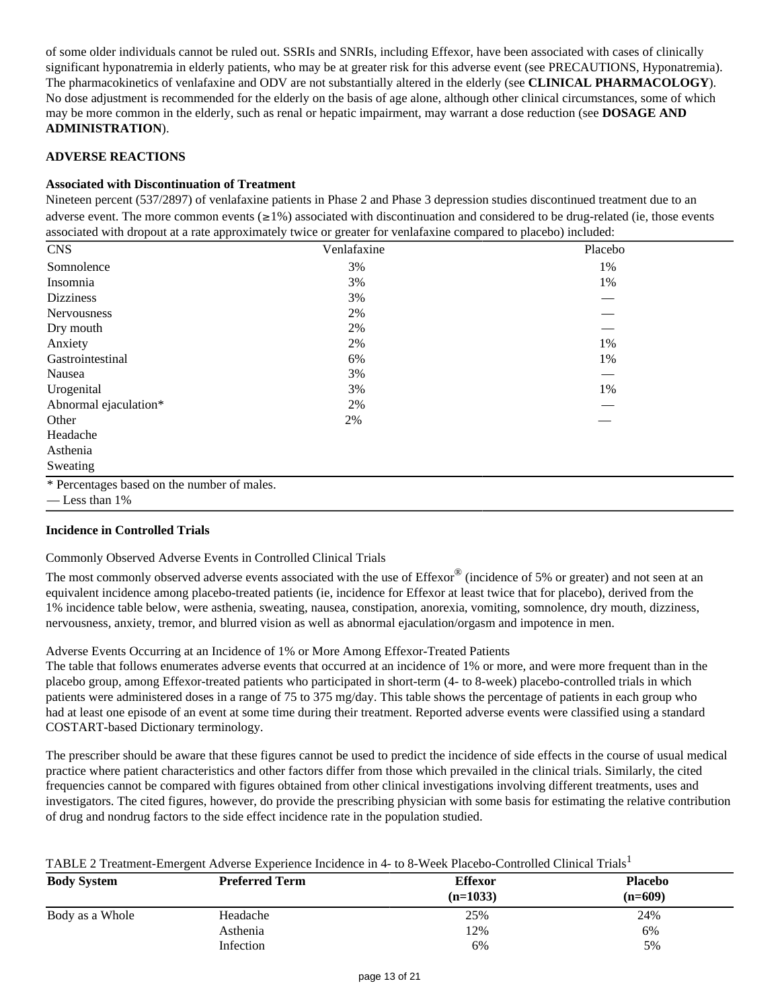of some older individuals cannot be ruled out. SSRIs and SNRIs, including Effexor, have been associated with cases of clinically significant hyponatremia in elderly patients, who may be at greater risk for this adverse event (see PRECAUTIONS, Hyponatremia). The pharmacokinetics of venlafaxine and ODV are not substantially altered in the elderly (see **CLINICAL PHARMACOLOGY**). No dose adjustment is recommended for the elderly on the basis of age alone, although other clinical circumstances, some of which may be more common in the elderly, such as renal or hepatic impairment, may warrant a dose reduction (see **DOSAGE AND ADMINISTRATION**).

## **ADVERSE REACTIONS**

## **Associated with Discontinuation of Treatment**

 Nineteen percent (537/2897) of venlafaxine patients in Phase 2 and Phase 3 depression studies discontinued treatment due to an adverse event. The more common events (≥ 1%) associated with discontinuation and considered to be drug-related (ie, those events associated with dropout at a rate approximately twice or greater for venlafaxine compared to placebo) included:

| <b>CNS</b>                                  | Venlafaxine | Placebo |
|---------------------------------------------|-------------|---------|
| Somnolence                                  | 3%          | 1%      |
| Insomnia                                    | 3%          | 1%      |
| <b>Dizziness</b>                            | 3%          |         |
| Nervousness                                 | 2%          |         |
| Dry mouth                                   | 2%          |         |
| Anxiety                                     | 2%          | 1%      |
| Gastrointestinal                            | 6%          | 1%      |
| Nausea                                      | 3%          |         |
| Urogenital                                  | 3%          | 1%      |
| Abnormal ejaculation*                       | 2%          |         |
| Other                                       | 2%          |         |
| Headache                                    |             |         |
| Asthenia                                    |             |         |
| Sweating                                    |             |         |
| * Percentages based on the number of males. |             |         |
| -Less than 1%                               |             |         |

## **Incidence in Controlled Trials**

## Commonly Observed Adverse Events in Controlled Clinical Trials

The most commonly observed adverse events associated with the use of Effexor® (incidence of 5% or greater) and not seen at an equivalent incidence among placebo-treated patients (ie, incidence for Effexor at least twice that for placebo), derived from the 1% incidence table below, were asthenia, sweating, nausea, constipation, anorexia, vomiting, somnolence, dry mouth, dizziness, nervousness, anxiety, tremor, and blurred vision as well as abnormal ejaculation/orgasm and impotence in men.

Adverse Events Occurring at an Incidence of 1% or More Among Effexor-Treated Patients

 The table that follows enumerates adverse events that occurred at an incidence of 1% or more, and were more frequent than in the placebo group, among Effexor-treated patients who participated in short-term (4- to 8-week) placebo-controlled trials in which patients were administered doses in a range of 75 to 375 mg/day. This table shows the percentage of patients in each group who had at least one episode of an event at some time during their treatment. Reported adverse events were classified using a standard COSTART-based Dictionary terminology.

 The prescriber should be aware that these figures cannot be used to predict the incidence of side effects in the course of usual medical practice where patient characteristics and other factors differ from those which prevailed in the clinical trials. Similarly, the cited frequencies cannot be compared with figures obtained from other clinical investigations involving different treatments, uses and investigators. The cited figures, however, do provide the prescribing physician with some basis for estimating the relative contribution of drug and nondrug factors to the side effect incidence rate in the population studied.

| TABLE 2 Treatment-Emergent Adverse Experience Incidence in 4- to 8-Week Placebo-Controlled Clinical Trials <sup>1</sup> |  |  |
|-------------------------------------------------------------------------------------------------------------------------|--|--|
|                                                                                                                         |  |  |

| <b>Body System</b> | <b>Preferred Term</b> | <b>Effexor</b> | <b>Placebo</b> |
|--------------------|-----------------------|----------------|----------------|
|                    |                       | $(n=1033)$     | $(n=609)$      |
| Body as a Whole    | Headache              | 25%            | 24%            |
|                    | Asthenia              | 12%            | 6%             |
|                    | Infection             | 6%             | 5%             |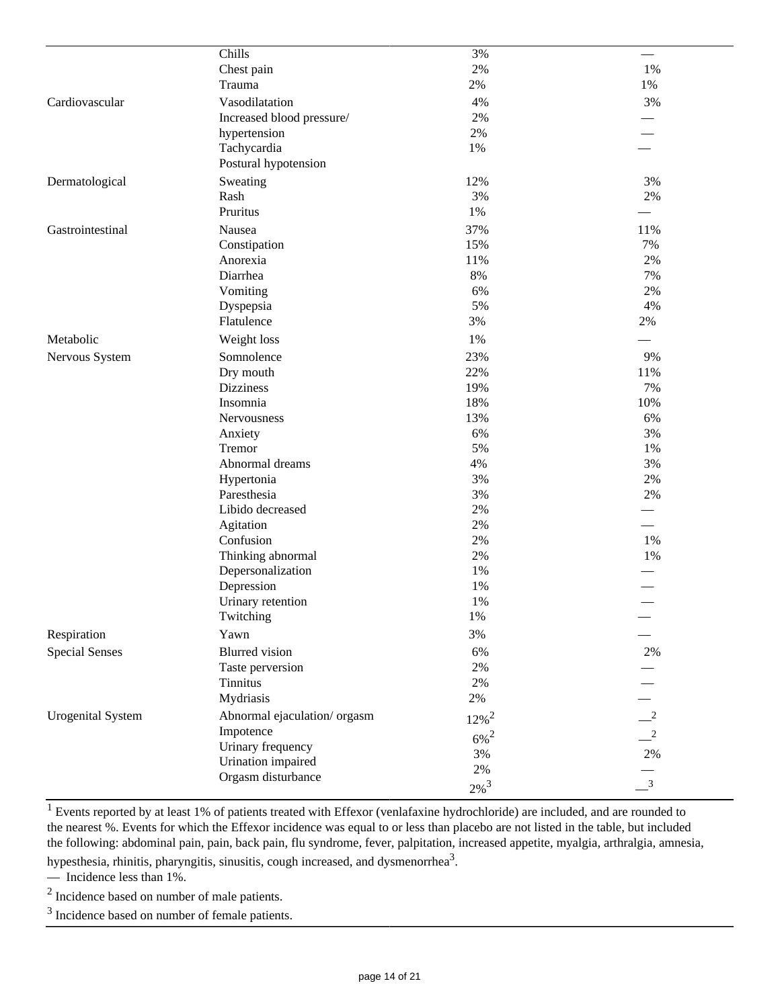|                          | Chills                      | 3%                  |                |
|--------------------------|-----------------------------|---------------------|----------------|
|                          | Chest pain                  | 2%                  | 1%             |
|                          | Trauma                      | 2%                  | 1%             |
| Cardiovascular           | Vasodilatation              | 4%                  | 3%             |
|                          | Increased blood pressure/   | 2%                  |                |
|                          | hypertension                | $2\%$               |                |
|                          | Tachycardia                 | 1%                  |                |
|                          | Postural hypotension        |                     |                |
|                          |                             | 12%                 | 3%             |
| Dermatological           | Sweating<br>Rash            | 3%                  | 2%             |
|                          | Pruritus                    | 1%                  |                |
|                          |                             |                     |                |
| Gastrointestinal         | Nausea                      | 37%                 | 11%            |
|                          | Constipation                | 15%                 | 7%             |
|                          | Anorexia                    | 11%                 | $2\%$          |
|                          | Diarrhea                    | 8%                  | 7%             |
|                          | Vomiting                    | 6%                  | $2\%$          |
|                          | Dyspepsia                   | 5%                  | 4%             |
|                          | Flatulence                  | 3%                  | $2\%$          |
| Metabolic                | Weight loss                 | 1%                  |                |
| Nervous System           | Somnolence                  | 23%                 | 9%             |
|                          | Dry mouth                   | 22%                 | 11%            |
|                          | <b>Dizziness</b>            | 19%                 | 7%             |
|                          | Insomnia                    | 18%                 | 10%            |
|                          | Nervousness                 | 13%                 | 6%             |
|                          | Anxiety                     | 6%                  | 3%             |
|                          | Tremor                      | 5%                  | 1%             |
|                          | Abnormal dreams             | 4%                  | 3%             |
|                          | Hypertonia                  | 3%                  | 2%             |
|                          | Paresthesia                 | 3%                  | 2%             |
|                          | Libido decreased            | 2%                  |                |
|                          | Agitation                   | 2%                  |                |
|                          | Confusion                   | 2%                  | 1%             |
|                          | Thinking abnormal           | 2%                  | 1%             |
|                          | Depersonalization           | 1%                  |                |
|                          | Depression                  | 1%                  |                |
|                          | Urinary retention           | 1%                  |                |
|                          | Twitching                   | $1\%$               |                |
| Respiration              | Yawn                        | 3%                  |                |
| <b>Special Senses</b>    | <b>Blurred</b> vision       | 6%                  | $2\%$          |
|                          | Taste perversion            | 2%                  |                |
|                          | <b>Tinnitus</b>             | $2\%$               |                |
|                          | Mydriasis                   | $2\%$               |                |
| <b>Urogenital System</b> | Abnormal ejaculation/orgasm | $12\%$ <sup>2</sup> | $\sqrt{2}$     |
|                          | Impotence                   | $6\%^{2}$           | $\mathbf{r}^2$ |
|                          | Urinary frequency           |                     |                |
|                          | Urination impaired          | 3%                  | 2%             |
|                          | Orgasm disturbance          | 2%                  | $\overline{3}$ |
|                          |                             | $2\%^{3}$           |                |

 $1$  Events reported by at least 1% of patients treated with Effexor (venlafaxine hydrochloride) are included, and are rounded to the nearest %. Events for which the Effexor incidence was equal to or less than placebo are not listed in the table, but included the following: abdominal pain, pain, back pain, flu syndrome, fever, palpitation, increased appetite, myalgia, arthralgia, amnesia,

hypesthesia, rhinitis, pharyngitis, sinusitis, cough increased, and dysmenorrhea<sup>3</sup>.

— Incidence less than 1%.

<sup>2</sup> Incidence based on number of male patients.

<sup>3</sup> Incidence based on number of female patients.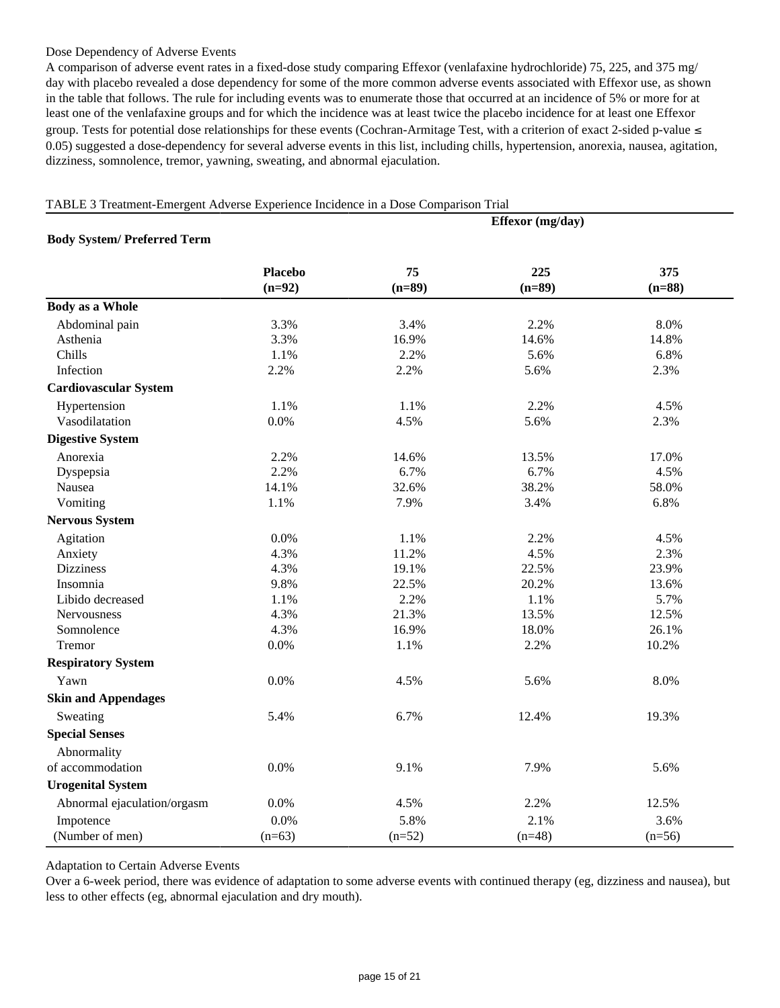### Dose Dependency of Adverse Events

 A comparison of adverse event rates in a fixed-dose study comparing Effexor (venlafaxine hydrochloride) 75, 225, and 375 mg/ day with placebo revealed a dose dependency for some of the more common adverse events associated with Effexor use, as shown in the table that follows. The rule for including events was to enumerate those that occurred at an incidence of 5% or more for at least one of the venlafaxine groups and for which the incidence was at least twice the placebo incidence for at least one Effexor group. Tests for potential dose relationships for these events (Cochran-Armitage Test, with a criterion of exact 2-sided p-value ≤ 0.05) suggested a dose-dependency for several adverse events in this list, including chills, hypertension, anorexia, nausea, agitation, dizziness, somnolence, tremor, yawning, sweating, and abnormal ejaculation.

## TABLE 3 Treatment-Emergent Adverse Experience Incidence in a Dose Comparison Trial

|                                    |                            |                | Effexor (mg/day) |                 |
|------------------------------------|----------------------------|----------------|------------------|-----------------|
| <b>Body System/ Preferred Term</b> |                            |                |                  |                 |
|                                    | <b>Placebo</b><br>$(n=92)$ | 75<br>$(n=89)$ | 225<br>$(n=89)$  | 375<br>$(n=88)$ |
| <b>Body as a Whole</b>             |                            |                |                  |                 |
| Abdominal pain                     | 3.3%                       | 3.4%           | 2.2%             | 8.0%            |
| Asthenia                           | 3.3%                       | 16.9%          | 14.6%            | 14.8%           |
| Chills                             | 1.1%                       | 2.2%           | 5.6%             | 6.8%            |
| Infection                          | 2.2%                       | 2.2%           | 5.6%             | 2.3%            |
| <b>Cardiovascular System</b>       |                            |                |                  |                 |
| Hypertension                       | 1.1%                       | 1.1%           | 2.2%             | 4.5%            |
| Vasodilatation                     | 0.0%                       | 4.5%           | 5.6%             | 2.3%            |
| <b>Digestive System</b>            |                            |                |                  |                 |
| Anorexia                           | 2.2%                       | 14.6%          | 13.5%            | 17.0%           |
| Dyspepsia                          | 2.2%                       | 6.7%           | 6.7%             | 4.5%            |
| Nausea                             | 14.1%                      | 32.6%          | 38.2%            | 58.0%           |
| Vomiting                           | 1.1%                       | 7.9%           | 3.4%             | 6.8%            |
| <b>Nervous System</b>              |                            |                |                  |                 |
| Agitation                          | 0.0%                       | 1.1%           | 2.2%             | 4.5%            |
| Anxiety                            | 4.3%                       | 11.2%          | 4.5%             | 2.3%            |
| <b>Dizziness</b>                   | 4.3%                       | 19.1%          | 22.5%            | 23.9%           |
| Insomnia                           | 9.8%                       | 22.5%          | 20.2%            | 13.6%           |
| Libido decreased                   | 1.1%                       | 2.2%           | 1.1%             | 5.7%            |
| Nervousness                        | 4.3%                       | 21.3%          | 13.5%            | 12.5%           |
| Somnolence                         | 4.3%                       | 16.9%          | 18.0%            | 26.1%           |
| Tremor                             | 0.0%                       | 1.1%           | 2.2%             | 10.2%           |
| <b>Respiratory System</b>          |                            |                |                  |                 |
| Yawn                               | 0.0%                       | 4.5%           | 5.6%             | 8.0%            |
| <b>Skin and Appendages</b>         |                            |                |                  |                 |
| Sweating                           | 5.4%                       | 6.7%           | 12.4%            | 19.3%           |
| <b>Special Senses</b>              |                            |                |                  |                 |
| Abnormality                        |                            |                |                  |                 |
| of accommodation                   | 0.0%                       | 9.1%           | 7.9%             | 5.6%            |
| <b>Urogenital System</b>           |                            |                |                  |                 |
| Abnormal ejaculation/orgasm        | 0.0%                       | 4.5%           | 2.2%             | 12.5%           |
| Impotence                          | 0.0%                       | 5.8%           | 2.1%             | 3.6%            |
| (Number of men)                    | $(n=63)$                   | $(n=52)$       | $(n=48)$         | $(n=56)$        |

Adaptation to Certain Adverse Events

 Over a 6-week period, there was evidence of adaptation to some adverse events with continued therapy (eg, dizziness and nausea), but less to other effects (eg, abnormal ejaculation and dry mouth).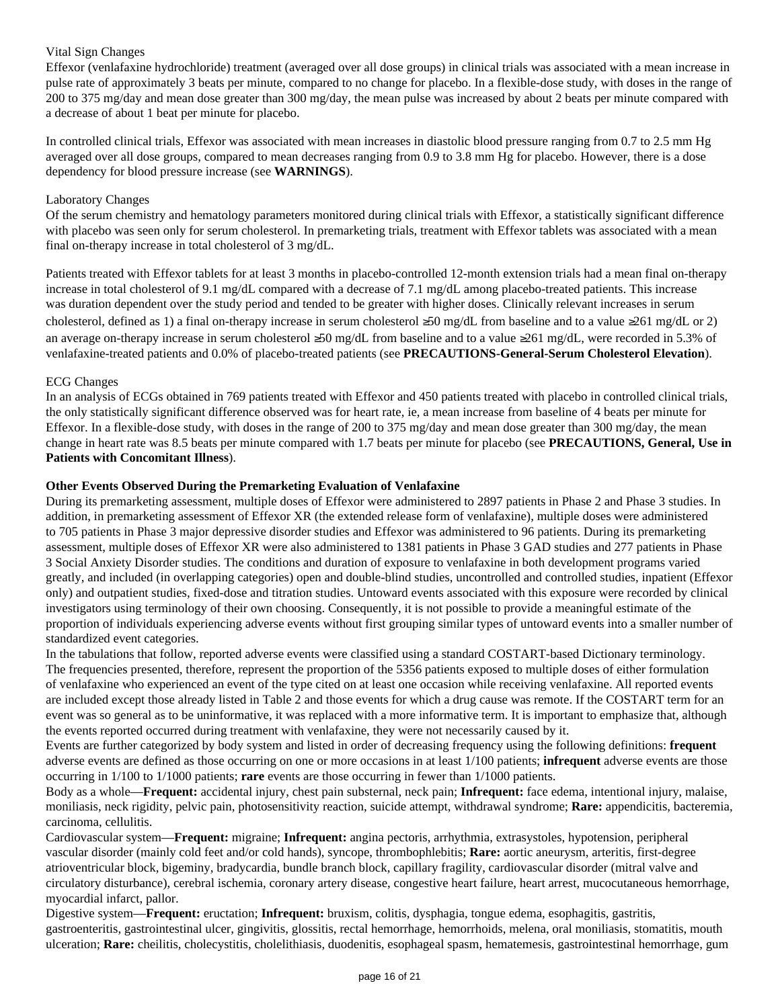## Vital Sign Changes

 Effexor (venlafaxine hydrochloride) treatment (averaged over all dose groups) in clinical trials was associated with a mean increase in pulse rate of approximately 3 beats per minute, compared to no change for placebo. In a flexible-dose study, with doses in the range of 200 to 375 mg/day and mean dose greater than 300 mg/day, the mean pulse was increased by about 2 beats per minute compared with a decrease of about 1 beat per minute for placebo.

 In controlled clinical trials, Effexor was associated with mean increases in diastolic blood pressure ranging from 0.7 to 2.5 mm Hg averaged over all dose groups, compared to mean decreases ranging from 0.9 to 3.8 mm Hg for placebo. However, there is a dose dependency for blood pressure increase (see **WARNINGS**).

## Laboratory Changes

 Of the serum chemistry and hematology parameters monitored during clinical trials with Effexor, a statistically significant difference with placebo was seen only for serum cholesterol. In premarketing trials, treatment with Effexor tablets was associated with a mean final on-therapy increase in total cholesterol of 3 mg/dL.

 Patients treated with Effexor tablets for at least 3 months in placebo-controlled 12-month extension trials had a mean final on-therapy increase in total cholesterol of 9.1 mg/dL compared with a decrease of 7.1 mg/dL among placebo-treated patients. This increase was duration dependent over the study period and tended to be greater with higher doses. Clinically relevant increases in serum cholesterol, defined as 1) a final on-therapy increase in serum cholesterol ≥50 mg/dL from baseline and to a value ≥261 mg/dL or 2) an average on-therapy increase in serum cholesterol ≥50 mg/dL from baseline and to a value ≥261 mg/dL, were recorded in 5.3% of venlafaxine-treated patients and 0.0% of placebo-treated patients (see **PRECAUTIONS-General-Serum Cholesterol Elevation**).

## ECG Changes

 In an analysis of ECGs obtained in 769 patients treated with Effexor and 450 patients treated with placebo in controlled clinical trials, the only statistically significant difference observed was for heart rate, ie, a mean increase from baseline of 4 beats per minute for Effexor. In a flexible-dose study, with doses in the range of 200 to 375 mg/day and mean dose greater than 300 mg/day, the mean change in heart rate was 8.5 beats per minute compared with 1.7 beats per minute for placebo (see **PRECAUTIONS, General, Use in Patients with Concomitant Illness**).

## **Other Events Observed During the Premarketing Evaluation of Venlafaxine**

 During its premarketing assessment, multiple doses of Effexor were administered to 2897 patients in Phase 2 and Phase 3 studies. In addition, in premarketing assessment of Effexor XR (the extended release form of venlafaxine), multiple doses were administered to 705 patients in Phase 3 major depressive disorder studies and Effexor was administered to 96 patients. During its premarketing assessment, multiple doses of Effexor XR were also administered to 1381 patients in Phase 3 GAD studies and 277 patients in Phase 3 Social Anxiety Disorder studies. The conditions and duration of exposure to venlafaxine in both development programs varied greatly, and included (in overlapping categories) open and double-blind studies, uncontrolled and controlled studies, inpatient (Effexor only) and outpatient studies, fixed-dose and titration studies. Untoward events associated with this exposure were recorded by clinical investigators using terminology of their own choosing. Consequently, it is not possible to provide a meaningful estimate of the proportion of individuals experiencing adverse events without first grouping similar types of untoward events into a smaller number of standardized event categories.

 In the tabulations that follow, reported adverse events were classified using a standard COSTART-based Dictionary terminology. The frequencies presented, therefore, represent the proportion of the 5356 patients exposed to multiple doses of either formulation of venlafaxine who experienced an event of the type cited on at least one occasion while receiving venlafaxine. All reported events are included except those already listed in Table 2 and those events for which a drug cause was remote. If the COSTART term for an event was so general as to be uninformative, it was replaced with a more informative term. It is important to emphasize that, although the events reported occurred during treatment with venlafaxine, they were not necessarily caused by it.

 Events are further categorized by body system and listed in order of decreasing frequency using the following definitions: **frequent**  adverse events are defined as those occurring on one or more occasions in at least 1/100 patients; **infrequent** adverse events are those occurring in 1/100 to 1/1000 patients; **rare** events are those occurring in fewer than 1/1000 patients.

 Body as a whole—**Frequent:** accidental injury, chest pain substernal, neck pain; **Infrequent:** face edema, intentional injury, malaise, moniliasis, neck rigidity, pelvic pain, photosensitivity reaction, suicide attempt, withdrawal syndrome; **Rare:** appendicitis, bacteremia, carcinoma, cellulitis.

 Cardiovascular system—**Frequent:** migraine; **Infrequent:** angina pectoris, arrhythmia, extrasystoles, hypotension, peripheral vascular disorder (mainly cold feet and/or cold hands), syncope, thrombophlebitis; **Rare:** aortic aneurysm, arteritis, first-degree atrioventricular block, bigeminy, bradycardia, bundle branch block, capillary fragility, cardiovascular disorder (mitral valve and circulatory disturbance), cerebral ischemia, coronary artery disease, congestive heart failure, heart arrest, mucocutaneous hemorrhage, myocardial infarct, pallor.

 Digestive system—**Frequent:** eructation; **Infrequent:** bruxism, colitis, dysphagia, tongue edema, esophagitis, gastritis, gastroenteritis, gastrointestinal ulcer, gingivitis, glossitis, rectal hemorrhage, hemorrhoids, melena, oral moniliasis, stomatitis, mouth ulceration; **Rare:** cheilitis, cholecystitis, cholelithiasis, duodenitis, esophageal spasm, hematemesis, gastrointestinal hemorrhage, gum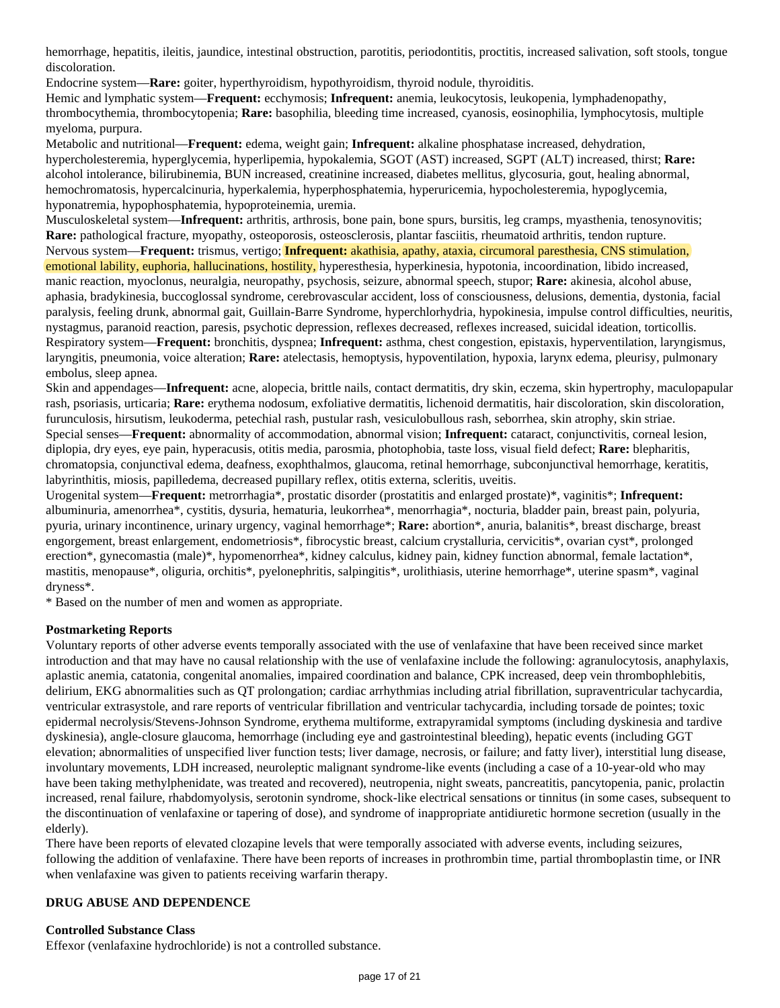hemorrhage, hepatitis, ileitis, jaundice, intestinal obstruction, parotitis, periodontitis, proctitis, increased salivation, soft stools, tongue discoloration.

Endocrine system—**Rare:** goiter, hyperthyroidism, hypothyroidism, thyroid nodule, thyroiditis.

 Hemic and lymphatic system—**Frequent:** ecchymosis; **Infrequent:** anemia, leukocytosis, leukopenia, lymphadenopathy, thrombocythemia, thrombocytopenia; **Rare:** basophilia, bleeding time increased, cyanosis, eosinophilia, lymphocytosis, multiple myeloma, purpura.

 Metabolic and nutritional—**Frequent:** edema, weight gain; **Infrequent:** alkaline phosphatase increased, dehydration, hypercholesteremia, hyperglycemia, hyperlipemia, hypokalemia, SGOT (AST) increased, SGPT (ALT) increased, thirst; **Rare:**  alcohol intolerance, bilirubinemia, BUN increased, creatinine increased, diabetes mellitus, glycosuria, gout, healing abnormal, hemochromatosis, hypercalcinuria, hyperkalemia, hyperphosphatemia, hyperuricemia, hypocholesteremia, hypoglycemia, hyponatremia, hypophosphatemia, hypoproteinemia, uremia.

 Musculoskeletal system—**Infrequent:** arthritis, arthrosis, bone pain, bone spurs, bursitis, leg cramps, myasthenia, tenosynovitis; **Rare:** pathological fracture, myopathy, osteoporosis, osteosclerosis, plantar fasciitis, rheumatoid arthritis, tendon rupture. Nervous system—**Frequent:** trismus, vertigo; **Infrequent:** akathisia, apathy, ataxia, circumoral paresthesia, CNS stimulation, emotional lability, euphoria, hallucinations, hostility, hyperesthesia, hyperkinesia, hypotonia, incoordination, libido increased, manic reaction, myoclonus, neuralgia, neuropathy, psychosis, seizure, abnormal speech, stupor; **Rare:** akinesia, alcohol abuse, aphasia, bradykinesia, buccoglossal syndrome, cerebrovascular accident, loss of consciousness, delusions, dementia, dystonia, facial paralysis, feeling drunk, abnormal gait, Guillain-Barre Syndrome, hyperchlorhydria, hypokinesia, impulse control difficulties, neuritis, nystagmus, paranoid reaction, paresis, psychotic depression, reflexes decreased, reflexes increased, suicidal ideation, torticollis. Respiratory system—**Frequent:** bronchitis, dyspnea; **Infrequent:** asthma, chest congestion, epistaxis, hyperventilation, laryngismus, laryngitis, pneumonia, voice alteration; **Rare:** atelectasis, hemoptysis, hypoventilation, hypoxia, larynx edema, pleurisy, pulmonary embolus, sleep apnea.

 Skin and appendages—**Infrequent:** acne, alopecia, brittle nails, contact dermatitis, dry skin, eczema, skin hypertrophy, maculopapular rash, psoriasis, urticaria; **Rare:** erythema nodosum, exfoliative dermatitis, lichenoid dermatitis, hair discoloration, skin discoloration, furunculosis, hirsutism, leukoderma, petechial rash, pustular rash, vesiculobullous rash, seborrhea, skin atrophy, skin striae. Special senses—**Frequent:** abnormality of accommodation, abnormal vision; **Infrequent:** cataract, conjunctivitis, corneal lesion, diplopia, dry eyes, eye pain, hyperacusis, otitis media, parosmia, photophobia, taste loss, visual field defect; **Rare:** blepharitis, chromatopsia, conjunctival edema, deafness, exophthalmos, glaucoma, retinal hemorrhage, subconjunctival hemorrhage, keratitis, labyrinthitis, miosis, papilledema, decreased pupillary reflex, otitis externa, scleritis, uveitis.

 Urogenital system—**Frequent:** metrorrhagia\*, prostatic disorder (prostatitis and enlarged prostate)\*, vaginitis\*; **Infrequent:**  albuminuria, amenorrhea\*, cystitis, dysuria, hematuria, leukorrhea\*, menorrhagia\*, nocturia, bladder pain, breast pain, polyuria, pyuria, urinary incontinence, urinary urgency, vaginal hemorrhage\*; **Rare:** abortion\*, anuria, balanitis\*, breast discharge, breast engorgement, breast enlargement, endometriosis\*, fibrocystic breast, calcium crystalluria, cervicitis\*, ovarian cyst\*, prolonged erection\*, gynecomastia (male)\*, hypomenorrhea\*, kidney calculus, kidney pain, kidney function abnormal, female lactation\*, mastitis, menopause\*, oliguria, orchitis\*, pyelonephritis, salpingitis\*, urolithiasis, uterine hemorrhage\*, uterine spasm\*, vaginal dryness\*.

\* Based on the number of men and women as appropriate.

## **Postmarketing Reports**

 Voluntary reports of other adverse events temporally associated with the use of venlafaxine that have been received since market introduction and that may have no causal relationship with the use of venlafaxine include the following: agranulocytosis, anaphylaxis, aplastic anemia, catatonia, congenital anomalies, impaired coordination and balance, CPK increased, deep vein thrombophlebitis, delirium, EKG abnormalities such as QT prolongation; cardiac arrhythmias including atrial fibrillation, supraventricular tachycardia, ventricular extrasystole, and rare reports of ventricular fibrillation and ventricular tachycardia, including torsade de pointes; toxic epidermal necrolysis/Stevens-Johnson Syndrome, erythema multiforme, extrapyramidal symptoms (including dyskinesia and tardive dyskinesia), angle-closure glaucoma, hemorrhage (including eye and gastrointestinal bleeding), hepatic events (including GGT elevation; abnormalities of unspecified liver function tests; liver damage, necrosis, or failure; and fatty liver), interstitial lung disease, involuntary movements, LDH increased, neuroleptic malignant syndrome-like events (including a case of a 10-year-old who may have been taking methylphenidate, was treated and recovered), neutropenia, night sweats, pancreatitis, pancytopenia, panic, prolactin increased, renal failure, rhabdomyolysis, serotonin syndrome, shock-like electrical sensations or tinnitus (in some cases, subsequent to the discontinuation of venlafaxine or tapering of dose), and syndrome of inappropriate antidiuretic hormone secretion (usually in the elderly).

 There have been reports of elevated clozapine levels that were temporally associated with adverse events, including seizures, following the addition of venlafaxine. There have been reports of increases in prothrombin time, partial thromboplastin time, or INR when venlafaxine was given to patients receiving warfarin therapy.

## **DRUG ABUSE AND DEPENDENCE**

## **Controlled Substance Class**

Effexor (venlafaxine hydrochloride) is not a controlled substance.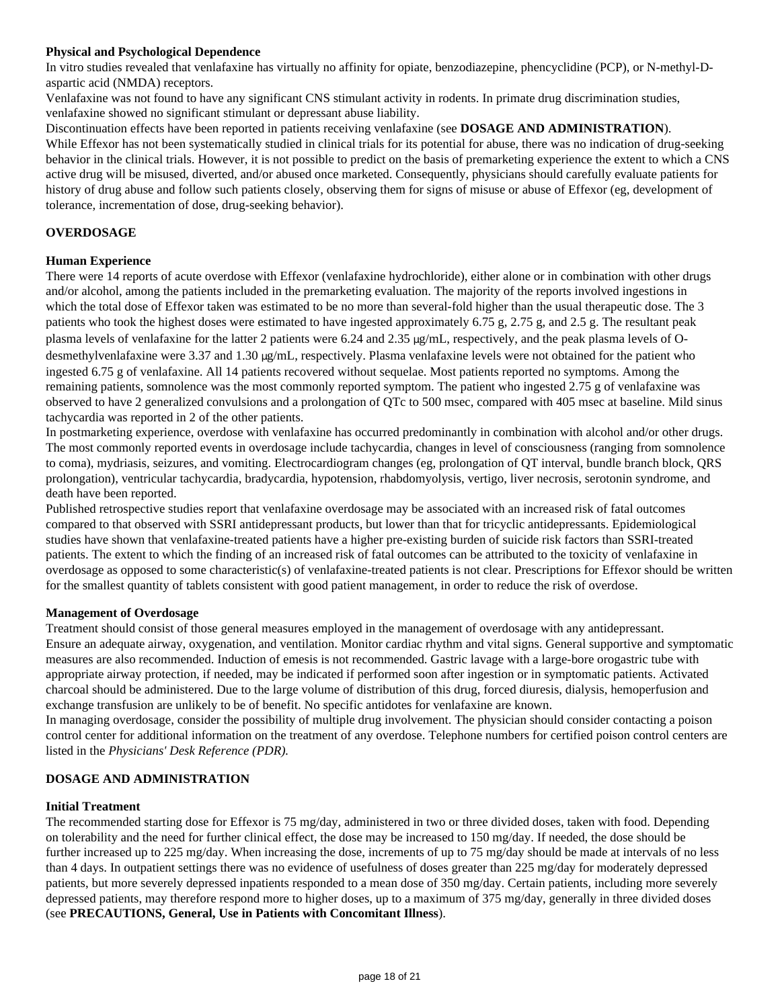## **Physical and Psychological Dependence**

 In vitro studies revealed that venlafaxine has virtually no affinity for opiate, benzodiazepine, phencyclidine (PCP), or N-methyl-D-aspartic acid (NMDA) receptors.

 Venlafaxine was not found to have any significant CNS stimulant activity in rodents. In primate drug discrimination studies, venlafaxine showed no significant stimulant or depressant abuse liability.

Discontinuation effects have been reported in patients receiving venlafaxine (see **DOSAGE AND ADMINISTRATION**).

 While Effexor has not been systematically studied in clinical trials for its potential for abuse, there was no indication of drug-seeking behavior in the clinical trials. However, it is not possible to predict on the basis of premarketing experience the extent to which a CNS active drug will be misused, diverted, and/or abused once marketed. Consequently, physicians should carefully evaluate patients for history of drug abuse and follow such patients closely, observing them for signs of misuse or abuse of Effexor (eg, development of tolerance, incrementation of dose, drug-seeking behavior).

## **OVERDOSAGE**

## **Human Experience**

 There were 14 reports of acute overdose with Effexor (venlafaxine hydrochloride), either alone or in combination with other drugs and/or alcohol, among the patients included in the premarketing evaluation. The majority of the reports involved ingestions in which the total dose of Effexor taken was estimated to be no more than several-fold higher than the usual therapeutic dose. The 3 patients who took the highest doses were estimated to have ingested approximately 6.75 g, 2.75 g, and 2.5 g. The resultant peak plasma levels of venlafaxine for the latter 2 patients were 6.24 and 2.35 µg/mL, respectively, and the peak plasma levels of Odesmethylvenlafaxine were 3.37 and 1.30  $\mu$ g/mL, respectively. Plasma venlafaxine levels were not obtained for the patient who ingested 6.75 g of venlafaxine. All 14 patients recovered without sequelae. Most patients reported no symptoms. Among the remaining patients, somnolence was the most commonly reported symptom. The patient who ingested 2.75 g of venlafaxine was observed to have 2 generalized convulsions and a prolongation of QTc to 500 msec, compared with 405 msec at baseline. Mild sinus tachycardia was reported in 2 of the other patients.

 In postmarketing experience, overdose with venlafaxine has occurred predominantly in combination with alcohol and/or other drugs. The most commonly reported events in overdosage include tachycardia, changes in level of consciousness (ranging from somnolence to coma), mydriasis, seizures, and vomiting. Electrocardiogram changes (eg, prolongation of QT interval, bundle branch block, QRS prolongation), ventricular tachycardia, bradycardia, hypotension, rhabdomyolysis, vertigo, liver necrosis, serotonin syndrome, and death have been reported.

 Published retrospective studies report that venlafaxine overdosage may be associated with an increased risk of fatal outcomes compared to that observed with SSRI antidepressant products, but lower than that for tricyclic antidepressants. Epidemiological studies have shown that venlafaxine-treated patients have a higher pre-existing burden of suicide risk factors than SSRI-treated patients. The extent to which the finding of an increased risk of fatal outcomes can be attributed to the toxicity of venlafaxine in overdosage as opposed to some characteristic(s) of venlafaxine-treated patients is not clear. Prescriptions for Effexor should be written for the smallest quantity of tablets consistent with good patient management, in order to reduce the risk of overdose.

## **Management of Overdosage**

 Treatment should consist of those general measures employed in the management of overdosage with any antidepressant. Ensure an adequate airway, oxygenation, and ventilation. Monitor cardiac rhythm and vital signs. General supportive and symptomatic measures are also recommended. Induction of emesis is not recommended. Gastric lavage with a large-bore orogastric tube with appropriate airway protection, if needed, may be indicated if performed soon after ingestion or in symptomatic patients. Activated charcoal should be administered. Due to the large volume of distribution of this drug, forced diuresis, dialysis, hemoperfusion and exchange transfusion are unlikely to be of benefit. No specific antidotes for venlafaxine are known.

 In managing overdosage, consider the possibility of multiple drug involvement. The physician should consider contacting a poison control center for additional information on the treatment of any overdose. Telephone numbers for certified poison control centers are listed in the *Physicians' Desk Reference (PDR).* 

## **DOSAGE AND ADMINISTRATION**

#### **Initial Treatment**

 The recommended starting dose for Effexor is 75 mg/day, administered in two or three divided doses, taken with food. Depending on tolerability and the need for further clinical effect, the dose may be increased to 150 mg/day. If needed, the dose should be further increased up to 225 mg/day. When increasing the dose, increments of up to 75 mg/day should be made at intervals of no less than 4 days. In outpatient settings there was no evidence of usefulness of doses greater than 225 mg/day for moderately depressed patients, but more severely depressed inpatients responded to a mean dose of 350 mg/day. Certain patients, including more severely depressed patients, may therefore respond more to higher doses, up to a maximum of 375 mg/day, generally in three divided doses  (see **PRECAUTIONS, General, Use in Patients with Concomitant Illness**).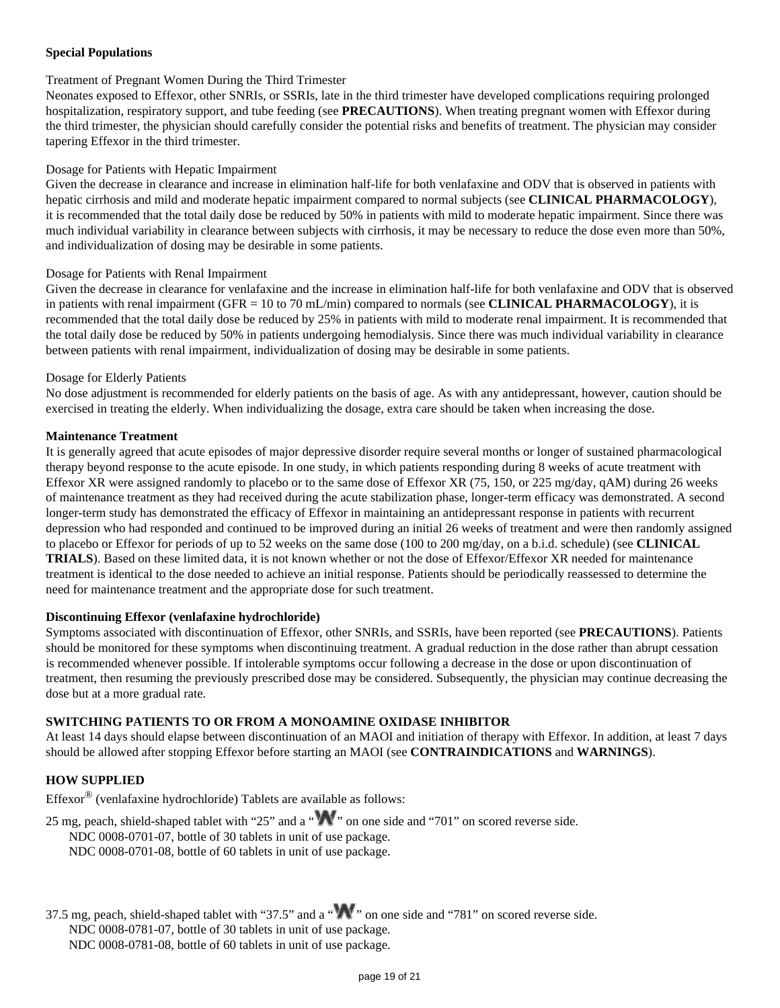## **Special Populations**

## Treatment of Pregnant Women During the Third Trimester

 Neonates exposed to Effexor, other SNRIs, or SSRIs, late in the third trimester have developed complications requiring prolonged hospitalization, respiratory support, and tube feeding (see **PRECAUTIONS**). When treating pregnant women with Effexor during the third trimester, the physician should carefully consider the potential risks and benefits of treatment. The physician may consider tapering Effexor in the third trimester.

## Dosage for Patients with Hepatic Impairment

 Given the decrease in clearance and increase in elimination half-life for both venlafaxine and ODV that is observed in patients with hepatic cirrhosis and mild and moderate hepatic impairment compared to normal subjects (see **CLINICAL PHARMACOLOGY**), it is recommended that the total daily dose be reduced by 50% in patients with mild to moderate hepatic impairment. Since there was much individual variability in clearance between subjects with cirrhosis, it may be necessary to reduce the dose even more than 50%, and individualization of dosing may be desirable in some patients.

## Dosage for Patients with Renal Impairment

 Given the decrease in clearance for venlafaxine and the increase in elimination half-life for both venlafaxine and ODV that is observed in patients with renal impairment (GFR = 10 to 70 mL/min) compared to normals (see **CLINICAL PHARMACOLOGY**), it is recommended that the total daily dose be reduced by 25% in patients with mild to moderate renal impairment. It is recommended that the total daily dose be reduced by 50% in patients undergoing hemodialysis. Since there was much individual variability in clearance between patients with renal impairment, individualization of dosing may be desirable in some patients.

## Dosage for Elderly Patients

 No dose adjustment is recommended for elderly patients on the basis of age. As with any antidepressant, however, caution should be exercised in treating the elderly. When individualizing the dosage, extra care should be taken when increasing the dose.

## **Maintenance Treatment**

 It is generally agreed that acute episodes of major depressive disorder require several months or longer of sustained pharmacological therapy beyond response to the acute episode. In one study, in which patients responding during 8 weeks of acute treatment with Effexor XR were assigned randomly to placebo or to the same dose of Effexor XR (75, 150, or 225 mg/day, qAM) during 26 weeks of maintenance treatment as they had received during the acute stabilization phase, longer-term efficacy was demonstrated. A second longer-term study has demonstrated the efficacy of Effexor in maintaining an antidepressant response in patients with recurrent depression who had responded and continued to be improved during an initial 26 weeks of treatment and were then randomly assigned to placebo or Effexor for periods of up to 52 weeks on the same dose (100 to 200 mg/day, on a b.i.d. schedule) (see **CLINICAL TRIALS**). Based on these limited data, it is not known whether or not the dose of Effexor/Effexor XR needed for maintenance treatment is identical to the dose needed to achieve an initial response. Patients should be periodically reassessed to determine the need for maintenance treatment and the appropriate dose for such treatment.

## **Discontinuing Effexor (venlafaxine hydrochloride)**

 Symptoms associated with discontinuation of Effexor, other SNRIs, and SSRIs, have been reported (see **PRECAUTIONS**). Patients should be monitored for these symptoms when discontinuing treatment. A gradual reduction in the dose rather than abrupt cessation is recommended whenever possible. If intolerable symptoms occur following a decrease in the dose or upon discontinuation of treatment, then resuming the previously prescribed dose may be considered. Subsequently, the physician may continue decreasing the dose but at a more gradual rate.

## **SWITCHING PATIENTS TO OR FROM A MONOAMINE OXIDASE INHIBITOR**

 At least 14 days should elapse between discontinuation of an MAOI and initiation of therapy with Effexor. In addition, at least 7 days should be allowed after stopping Effexor before starting an MAOI (see **CONTRAINDICATIONS** and **WARNINGS**).

## **HOW SUPPLIED**

Effexor<sup>®</sup> (venlafaxine hydrochloride) Tablets are available as follows:

- 25 mg, peach, shield-shaped tablet with "25" and a "**THE**" on one side and "701" on scored reverse side.
	- NDC 0008-0701-07, bottle of 30 tablets in unit of use package.
	- NDC 0008-0701-08, bottle of 60 tablets in unit of use package.
- 37.5 mg, peach, shield-shaped tablet with "37.5" and a "<sup>T</sup> " on one side and "781" on scored reverse side. NDC 0008-0781-07, bottle of 30 tablets in unit of use package. NDC 0008-0781-08, bottle of 60 tablets in unit of use package.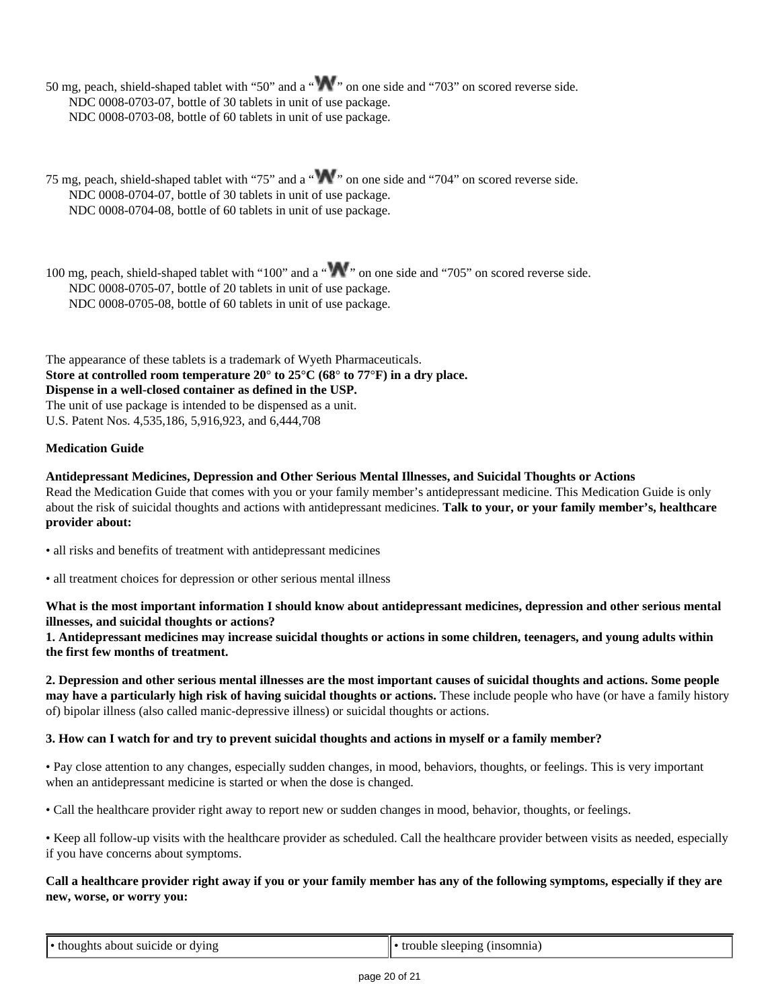50 mg, peach, shield-shaped tablet with "50" and a "**T"**" on one side and "703" on scored reverse side. NDC 0008-0703-07, bottle of 30 tablets in unit of use package. NDC 0008-0703-08, bottle of 60 tablets in unit of use package.

75 mg, peach, shield-shaped tablet with "75" and a "**THE**" on one side and "704" on scored reverse side. NDC 0008-0704-07, bottle of 30 tablets in unit of use package. NDC 0008-0704-08, bottle of 60 tablets in unit of use package.

100 mg, peach, shield-shaped tablet with "100" and a "<sup>"</sup>" on one side and "705" on scored reverse side. NDC 0008-0705-07, bottle of 20 tablets in unit of use package. NDC 0008-0705-08, bottle of 60 tablets in unit of use package.

 The appearance of these tablets is a trademark of Wyeth Pharmaceuticals.  **Store at controlled room temperature 20**° **to 25**°**C (68**° **to 77**°**F) in a dry place. Dispense in a well-closed container as defined in the USP.**  The unit of use package is intended to be dispensed as a unit. U.S. Patent Nos. 4,535,186, 5,916,923, and 6,444,708

## **Medication Guide**

# **Antidepressant Medicines, Depression and Other Serious Mental Illnesses, and Suicidal Thoughts or Actions**  Read the Medication Guide that comes with you or your family member's antidepressant medicine. This Medication Guide is only

 about the risk of suicidal thoughts and actions with antidepressant medicines. **Talk to your, or your family member's, healthcare provider about:** 

• all risks and benefits of treatment with antidepressant medicines

• all treatment choices for depression or other serious mental illness

What is the most important information I should know about antidepressant medicines, depression and other serious mental  **illnesses, and suicidal thoughts or actions?** 

 **1. Antidepressant medicines may increase suicidal thoughts or actions in some children, teenagers, and young adults within the first few months of treatment.** 

 **2. Depression and other serious mental illnesses are the most important causes of suicidal thoughts and actions. Some people may have a particularly high risk of having suicidal thoughts or actions.** These include people who have (or have a family history of) bipolar illness (also called manic-depressive illness) or suicidal thoughts or actions.

## **3. How can I watch for and try to prevent suicidal thoughts and actions in myself or a family member?**

 • Pay close attention to any changes, especially sudden changes, in mood, behaviors, thoughts, or feelings. This is very important when an antidepressant medicine is started or when the dose is changed.

• Call the healthcare provider right away to report new or sudden changes in mood, behavior, thoughts, or feelings.

 • Keep all follow-up visits with the healthcare provider as scheduled. Call the healthcare provider between visits as needed, especially if you have concerns about symptoms.

## **Call a healthcare provider right away if you or your family member has any of the following symptoms, especially if they are new, worse, or worry you:**

| dving<br>or<br>about suicide<br>sleeping<br>thous.<br>unsomnia.<br>minie<br>11I : |
|-----------------------------------------------------------------------------------|
|-----------------------------------------------------------------------------------|